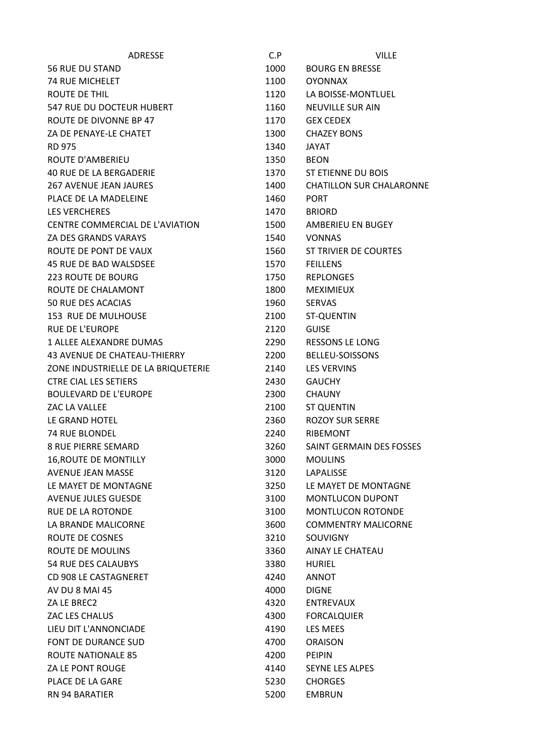| <b>ADRESSE</b>                      | C.P  | <b>VILLE</b>                    |
|-------------------------------------|------|---------------------------------|
| <b>56 RUE DU STAND</b>              | 1000 | <b>BOURG EN BRESSE</b>          |
| <b>74 RUE MICHELET</b>              | 1100 | <b>OYONNAX</b>                  |
| ROUTE DE THIL                       | 1120 | LA BOISSE-MONTLUEL              |
| 547 RUE DU DOCTEUR HUBERT           | 1160 | <b>NEUVILLE SUR AIN</b>         |
| ROUTE DE DIVONNE BP 47              | 1170 | <b>GEX CEDEX</b>                |
| ZA DE PENAYE-LE CHATET              | 1300 | <b>CHAZEY BONS</b>              |
| <b>RD 975</b>                       | 1340 | <b>JAYAT</b>                    |
| <b>ROUTE D'AMBERIEU</b>             | 1350 | <b>BEON</b>                     |
| <b>40 RUE DE LA BERGADERIE</b>      | 1370 | ST ETIENNE DU BOIS              |
| <b>267 AVENUE JEAN JAURES</b>       | 1400 | <b>CHATILLON SUR CHALARONNE</b> |
| PLACE DE LA MADELEINE               | 1460 | <b>PORT</b>                     |
| <b>LES VERCHERES</b>                | 1470 | <b>BRIORD</b>                   |
| CENTRE COMMERCIAL DE L'AVIATION     | 1500 | AMBERIEU EN BUGEY               |
| <b>ZA DES GRANDS VARAYS</b>         | 1540 | <b>VONNAS</b>                   |
| ROUTE DE PONT DE VAUX               | 1560 | ST TRIVIER DE COURTES           |
| 45 RUE DE BAD WALSDSEE              | 1570 | <b>FEILLENS</b>                 |
| <b>223 ROUTE DE BOURG</b>           | 1750 | <b>REPLONGES</b>                |
| ROUTE DE CHALAMONT                  | 1800 | <b>MEXIMIEUX</b>                |
| 50 RUE DES ACACIAS                  | 1960 | <b>SERVAS</b>                   |
| 153 RUE DE MULHOUSE                 | 2100 | <b>ST-QUENTIN</b>               |
| <b>RUE DE L'EUROPE</b>              | 2120 | <b>GUISE</b>                    |
| 1 ALLEE ALEXANDRE DUMAS             | 2290 | <b>RESSONS LE LONG</b>          |
| 43 AVENUE DE CHATEAU-THIERRY        | 2200 | <b>BELLEU-SOISSONS</b>          |
| ZONE INDUSTRIELLE DE LA BRIQUETERIE | 2140 | <b>LES VERVINS</b>              |
| <b>CTRE CIAL LES SETIERS</b>        | 2430 | <b>GAUCHY</b>                   |
| <b>BOULEVARD DE L'EUROPE</b>        | 2300 | <b>CHAUNY</b>                   |
| ZAC LA VALLEE                       | 2100 | <b>ST QUENTIN</b>               |
| LE GRAND HOTEL                      | 2360 | <b>ROZOY SUR SERRE</b>          |
| <b>74 RUE BLONDEL</b>               | 2240 | <b>RIBEMONT</b>                 |
| <b>8 RUE PIERRE SEMARD</b>          | 3260 | SAINT GERMAIN DES FOSSES        |
| <b>16, ROUTE DE MONTILLY</b>        | 3000 | <b>MOULINS</b>                  |
| <b>AVENUE JEAN MASSE</b>            | 3120 | <b>LAPALISSE</b>                |
| LE MAYET DE MONTAGNE                | 3250 | LE MAYET DE MONTAGNE            |
| <b>AVENUE JULES GUESDE</b>          | 3100 | <b>MONTLUCON DUPONT</b>         |
| <b>RUE DE LA ROTONDE</b>            | 3100 | <b>MONTLUCON ROTONDE</b>        |
| LA BRANDE MALICORNE                 | 3600 | <b>COMMENTRY MALICORNE</b>      |
| ROUTE DE COSNES                     | 3210 | <b>SOUVIGNY</b>                 |
| <b>ROUTE DE MOULINS</b>             | 3360 | AINAY LE CHATEAU                |
| <b>54 RUE DES CALAUBYS</b>          | 3380 | <b>HURIEL</b>                   |
| CD 908 LE CASTAGNERET               | 4240 | <b>ANNOT</b>                    |
| AV DU 8 MAI 45                      | 4000 | <b>DIGNE</b>                    |
| ZA LE BREC2                         | 4320 | <b>ENTREVAUX</b>                |
| ZAC LES CHALUS                      | 4300 | <b>FORCALQUIER</b>              |
| LIEU DIT L'ANNONCIADE               | 4190 | LES MEES                        |
| FONT DE DURANCE SUD                 | 4700 | <b>ORAISON</b>                  |
| <b>ROUTE NATIONALE 85</b>           | 4200 | <b>PEIPIN</b>                   |
| ZA LE PONT ROUGE                    | 4140 | <b>SEYNE LES ALPES</b>          |
| PLACE DE LA GARE                    | 5230 | <b>CHORGES</b>                  |
| <b>RN 94 BARATIER</b>               | 5200 | <b>EMBRUN</b>                   |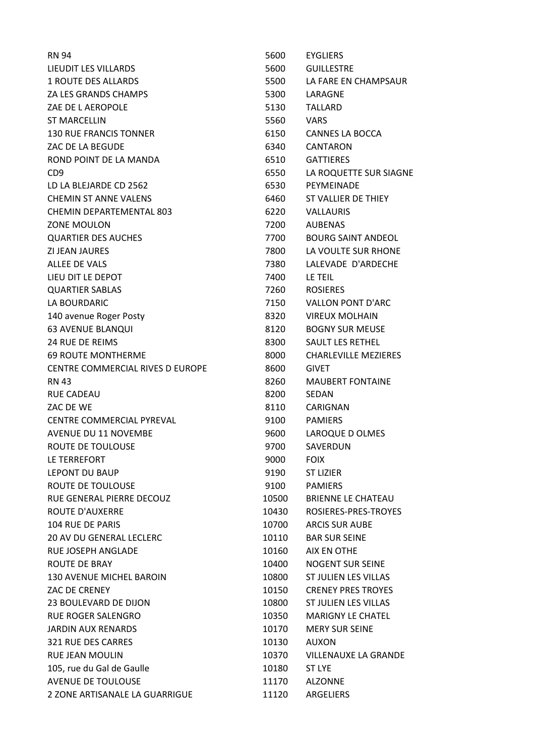| <b>RN 94</b>                     | 5600  | <b>EYGLIERS</b>             |
|----------------------------------|-------|-----------------------------|
| LIEUDIT LES VILLARDS             | 5600  | <b>GUILLESTRE</b>           |
| <b>1 ROUTE DES ALLARDS</b>       | 5500  | LA FARE EN CHAMPSAUR        |
| ZA LES GRANDS CHAMPS             | 5300  | LARAGNE                     |
| ZAE DE L AEROPOLE                | 5130  | <b>TALLARD</b>              |
| <b>ST MARCELLIN</b>              | 5560  | <b>VARS</b>                 |
| <b>130 RUE FRANCIS TONNER</b>    | 6150  | <b>CANNES LA BOCCA</b>      |
| ZAC DE LA BEGUDE                 | 6340  | <b>CANTARON</b>             |
| ROND POINT DE LA MANDA           | 6510  | <b>GATTIERES</b>            |
| CD <sub>9</sub>                  | 6550  | LA ROQUETTE SUR SIAGNE      |
| LD LA BLEJARDE CD 2562           | 6530  | PEYMEINADE                  |
| <b>CHEMIN ST ANNE VALENS</b>     | 6460  | ST VALLIER DE THIEY         |
| CHEMIN DEPARTEMENTAL 803         | 6220  | <b>VALLAURIS</b>            |
| <b>ZONE MOULON</b>               | 7200  | <b>AUBENAS</b>              |
| <b>QUARTIER DES AUCHES</b>       | 7700  | <b>BOURG SAINT ANDEOL</b>   |
| <b>ZI JEAN JAURES</b>            | 7800  | LA VOULTE SUR RHONE         |
| <b>ALLEE DE VALS</b>             | 7380  | LALEVADE D'ARDECHE          |
| LIEU DIT LE DEPOT                | 7400  | LE TEIL                     |
| <b>QUARTIER SABLAS</b>           | 7260  | <b>ROSIERES</b>             |
| LA BOURDARIC                     | 7150  | <b>VALLON PONT D'ARC</b>    |
| 140 avenue Roger Posty           | 8320  | <b>VIREUX MOLHAIN</b>       |
| <b>63 AVENUE BLANQUI</b>         | 8120  | <b>BOGNY SUR MEUSE</b>      |
| <b>24 RUE DE REIMS</b>           | 8300  | <b>SAULT LES RETHEL</b>     |
| <b>69 ROUTE MONTHERME</b>        | 8000  | <b>CHARLEVILLE MEZIERES</b> |
| CENTRE COMMERCIAL RIVES D EUROPE | 8600  | <b>GIVET</b>                |
| <b>RN 43</b>                     | 8260  | <b>MAUBERT FONTAINE</b>     |
| <b>RUE CADEAU</b>                | 8200  | <b>SEDAN</b>                |
| ZAC DE WE                        | 8110  | CARIGNAN                    |
| <b>CENTRE COMMERCIAL PYREVAL</b> | 9100  | <b>PAMIERS</b>              |
| <b>AVENUE DU 11 NOVEMBE</b>      | 9600  | LAROQUE D OLMES             |
| ROUTE DE TOULOUSE                | 9700  | SAVERDUN                    |
| LE TERREFORT                     | 9000  | <b>FOIX</b>                 |
| LEPONT DU BAUP                   | 9190  | <b>ST LIZIER</b>            |
| ROUTE DE TOULOUSE                | 9100  | <b>PAMIERS</b>              |
| RUE GENERAL PIERRE DECOUZ        | 10500 | BRIENNE LE CHATEAU          |
| <b>ROUTE D'AUXERRE</b>           | 10430 | ROSIERES-PRES-TROYES        |
| <b>104 RUE DE PARIS</b>          | 10700 | <b>ARCIS SUR AUBE</b>       |
| <b>20 AV DU GENERAL LECLERC</b>  | 10110 | <b>BAR SUR SEINE</b>        |
| RUE JOSEPH ANGLADE               | 10160 | AIX EN OTHE                 |
| ROUTE DE BRAY                    | 10400 | <b>NOGENT SUR SEINE</b>     |
| <b>130 AVENUE MICHEL BAROIN</b>  | 10800 | ST JULIEN LES VILLAS        |
| ZAC DE CRENEY                    | 10150 | <b>CRENEY PRES TROYES</b>   |
| 23 BOULEVARD DE DIJON            | 10800 | ST JULIEN LES VILLAS        |
| <b>RUE ROGER SALENGRO</b>        | 10350 | <b>MARIGNY LE CHATEL</b>    |
| <b>JARDIN AUX RENARDS</b>        | 10170 | <b>MERY SUR SEINE</b>       |
| 321 RUE DES CARRES               | 10130 | <b>AUXON</b>                |
| <b>RUE JEAN MOULIN</b>           | 10370 | <b>VILLENAUXE LA GRANDE</b> |
| 105, rue du Gal de Gaulle        | 10180 | ST LYE                      |
| <b>AVENUE DE TOULOUSE</b>        | 11170 | <b>ALZONNE</b>              |
| 2 ZONE ARTISANALE LA GUARRIGUE   | 11120 | ARGELIERS                   |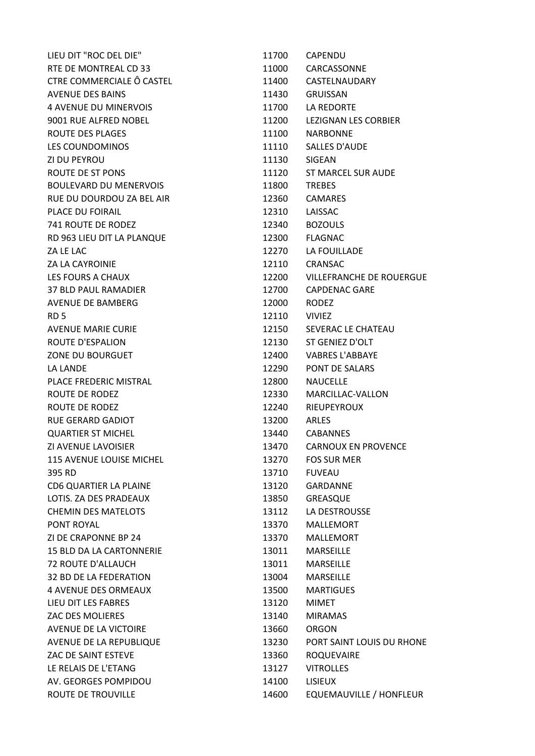| LIEU DIT "ROC DEL DIE"          | 11700 | <b>CAPENDU</b>                  |
|---------------------------------|-------|---------------------------------|
| RTE DE MONTREAL CD 33           | 11000 | CARCASSONNE                     |
| CTRE COMMERCIALE Ô CASTEL       | 11400 | CASTELNAUDARY                   |
| <b>AVENUE DES BAINS</b>         | 11430 | <b>GRUISSAN</b>                 |
| <b>4 AVENUE DU MINERVOIS</b>    | 11700 | LA REDORTE                      |
| 9001 RUE ALFRED NOBEL           | 11200 | LEZIGNAN LES CORBIER            |
| ROUTE DES PLAGES                | 11100 | <b>NARBONNE</b>                 |
| LES COUNDOMINOS                 | 11110 | SALLES D'AUDE                   |
| ZI DU PEYROU                    | 11130 | <b>SIGEAN</b>                   |
| ROUTE DE ST PONS                | 11120 | ST MARCEL SUR AUDE              |
| <b>BOULEVARD DU MENERVOIS</b>   | 11800 | <b>TREBES</b>                   |
| RUE DU DOURDOU ZA BEL AIR       | 12360 | <b>CAMARES</b>                  |
| PLACE DU FOIRAIL                | 12310 | LAISSAC                         |
| 741 ROUTE DE RODEZ              | 12340 | <b>BOZOULS</b>                  |
| RD 963 LIEU DIT LA PLANQUE      | 12300 | <b>FLAGNAC</b>                  |
| ZA LE LAC                       | 12270 | LA FOUILLADE                    |
| <b>ZA LA CAYROINIE</b>          | 12110 | <b>CRANSAC</b>                  |
| LES FOURS A CHAUX               | 12200 | <b>VILLEFRANCHE DE ROUERGUE</b> |
| <b>37 BLD PAUL RAMADIER</b>     | 12700 | <b>CAPDENAC GARE</b>            |
| <b>AVENUE DE BAMBERG</b>        | 12000 | RODEZ                           |
| RD <sub>5</sub>                 | 12110 | <b>VIVIEZ</b>                   |
| <b>AVENUE MARIE CURIE</b>       | 12150 | SEVERAC LE CHATEAU              |
| ROUTE D'ESPALION                | 12130 | ST GENIEZ D'OLT                 |
| ZONE DU BOURGUET                | 12400 | <b>VABRES L'ABBAYE</b>          |
| LA LANDE                        | 12290 | PONT DE SALARS                  |
| PLACE FREDERIC MISTRAL          | 12800 | <b>NAUCELLE</b>                 |
| ROUTE DE RODEZ                  | 12330 | MARCILLAC-VALLON                |
| ROUTE DE RODEZ                  | 12240 | <b>RIEUPEYROUX</b>              |
| <b>RUE GERARD GADIOT</b>        | 13200 | <b>ARLES</b>                    |
| <b>QUARTIER ST MICHEL</b>       | 13440 | <b>CABANNES</b>                 |
| ZI AVENUE LAVOISIER             | 13470 | <b>CARNOUX EN PROVENCE</b>      |
| 115 AVENUE LOUISE MICHEL        | 13270 | <b>FOS SUR MER</b>              |
| 395 RD                          | 13710 | <b>FUVEAU</b>                   |
| CD6 QUARTIER LA PLAINE          | 13120 | <b>GARDANNE</b>                 |
| LOTIS. ZA DES PRADEAUX          | 13850 | <b>GREASQUE</b>                 |
| <b>CHEMIN DES MATELOTS</b>      | 13112 | LA DESTROUSSE                   |
| PONT ROYAL                      | 13370 | <b>MALLEMORT</b>                |
| ZI DE CRAPONNE BP 24            | 13370 | <b>MALLEMORT</b>                |
| <b>15 BLD DA LA CARTONNERIE</b> | 13011 | MARSEILLE                       |
| <b>72 ROUTE D'ALLAUCH</b>       | 13011 | MARSEILLE                       |
| 32 BD DE LA FEDERATION          | 13004 | MARSEILLE                       |
| 4 AVENUE DES ORMEAUX            | 13500 | <b>MARTIGUES</b>                |
| LIEU DIT LES FABRES             | 13120 | <b>MIMET</b>                    |
| ZAC DES MOLIERES                | 13140 | <b>MIRAMAS</b>                  |
| <b>AVENUE DE LA VICTOIRE</b>    | 13660 | <b>ORGON</b>                    |
| AVENUE DE LA REPUBLIQUE         | 13230 | PORT SAINT LOUIS DU RHONE       |
| ZAC DE SAINT ESTEVE             | 13360 | <b>ROQUEVAIRE</b>               |
| LE RELAIS DE L'ETANG            | 13127 | <b>VITROLLES</b>                |
| AV. GEORGES POMPIDOU            | 14100 | <b>LISIEUX</b>                  |
| ROUTE DE TROUVILLE              | 14600 | EQUEMAUVILLE / HONFLEUR         |
|                                 |       |                                 |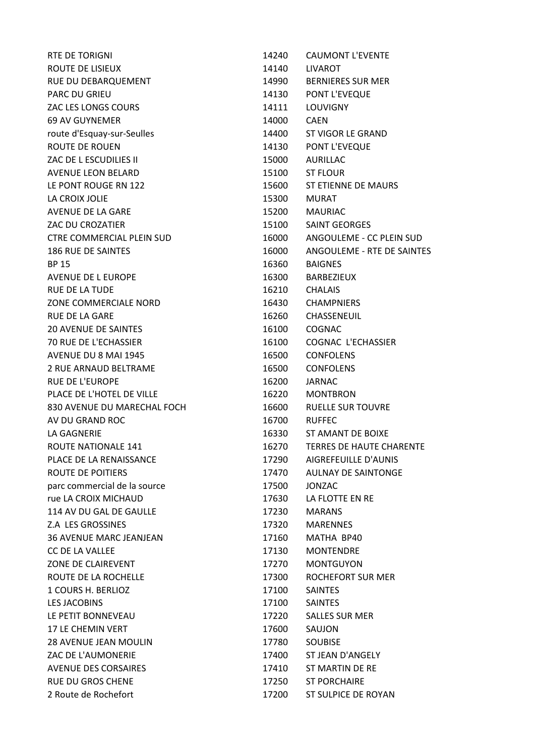| RTE DE TORIGNI                   | 14240 | <b>CAUMONT L'EVENTE</b>         |
|----------------------------------|-------|---------------------------------|
| ROUTE DE LISIEUX                 | 14140 | <b>LIVAROT</b>                  |
| RUE DU DEBARQUEMENT              | 14990 | <b>BERNIERES SUR MER</b>        |
| <b>PARC DU GRIEU</b>             | 14130 | PONT L'EVEQUE                   |
| ZAC LES LONGS COURS              | 14111 | <b>LOUVIGNY</b>                 |
| 69 AV GUYNEMER                   | 14000 | <b>CAEN</b>                     |
| route d'Esquay-sur-Seulles       | 14400 | ST VIGOR LE GRAND               |
| <b>ROUTE DE ROUEN</b>            | 14130 | PONT L'EVEQUE                   |
| ZAC DE L ESCUDILIES II           | 15000 | AURILLAC                        |
| <b>AVENUE LEON BELARD</b>        | 15100 | <b>ST FLOUR</b>                 |
| LE PONT ROUGE RN 122             | 15600 | ST ETIENNE DE MAURS             |
| LA CROIX JOLIE                   | 15300 | <b>MURAT</b>                    |
| AVENUE DE LA GARE                | 15200 | <b>MAURIAC</b>                  |
| ZAC DU CROZATIER                 | 15100 | <b>SAINT GEORGES</b>            |
| <b>CTRE COMMERCIAL PLEIN SUD</b> | 16000 | ANGOULEME - CC PLEIN SUD        |
| <b>186 RUE DE SAINTES</b>        | 16000 | ANGOULEME - RTE DE SAINTES      |
| <b>BP 15</b>                     | 16360 | <b>BAIGNES</b>                  |
| AVENUE DE L EUROPE               | 16300 | BARBEZIEUX                      |
| <b>RUE DE LA TUDE</b>            | 16210 | <b>CHALAIS</b>                  |
| ZONE COMMERCIALE NORD            | 16430 | <b>CHAMPNIERS</b>               |
| <b>RUE DE LA GARE</b>            | 16260 | <b>CHASSENEUIL</b>              |
| <b>20 AVENUE DE SAINTES</b>      | 16100 | <b>COGNAC</b>                   |
| 70 RUE DE L'ECHASSIER            | 16100 | COGNAC L'ECHASSIER              |
| AVENUE DU 8 MAI 1945             | 16500 | <b>CONFOLENS</b>                |
| 2 RUE ARNAUD BELTRAME            | 16500 | <b>CONFOLENS</b>                |
| <b>RUE DE L'EUROPE</b>           | 16200 | <b>JARNAC</b>                   |
| PLACE DE L'HOTEL DE VILLE        | 16220 | <b>MONTBRON</b>                 |
| 830 AVENUE DU MARECHAL FOCH      | 16600 | <b>RUELLE SUR TOUVRE</b>        |
| AV DU GRAND ROC                  | 16700 | <b>RUFFEC</b>                   |
| LA GAGNERIE                      | 16330 | ST AMANT DE BOIXE               |
| ROUTE NATIONALE 141              | 16270 | <b>TERRES DE HAUTE CHARENTE</b> |
| PLACE DE LA RENAISSANCE          | 17290 | AIGREFEUILLE D'AUNIS            |
| <b>ROUTE DE POITIERS</b>         | 17470 | <b>AULNAY DE SAINTONGE</b>      |
| parc commercial de la source     | 17500 | <b>JONZAC</b>                   |
| rue LA CROIX MICHAUD             | 17630 | LA FLOTTE EN RE                 |
| 114 AV DU GAL DE GAULLE          | 17230 | <b>MARANS</b>                   |
| Z.A LES GROSSINES                | 17320 | <b>MARENNES</b>                 |
| <b>36 AVENUE MARC JEANJEAN</b>   | 17160 | MATHA BP40                      |
| CC DE LA VALLEE                  | 17130 | <b>MONTENDRE</b>                |
| ZONE DE CLAIREVENT               | 17270 | <b>MONTGUYON</b>                |
| ROUTE DE LA ROCHELLE             | 17300 | ROCHEFORT SUR MER               |
| 1 COURS H. BERLIOZ               | 17100 | <b>SAINTES</b>                  |
| <b>LES JACOBINS</b>              | 17100 | <b>SAINTES</b>                  |
| LE PETIT BONNEVEAU               | 17220 | <b>SALLES SUR MER</b>           |
| <b>17 LE CHEMIN VERT</b>         | 17600 | SAUJON                          |
| 28 AVENUE JEAN MOULIN            | 17780 | <b>SOUBISE</b>                  |
| ZAC DE L'AUMONERIE               | 17400 | ST JEAN D'ANGELY                |
| <b>AVENUE DES CORSAIRES</b>      | 17410 | ST MARTIN DE RE                 |
| <b>RUE DU GROS CHENE</b>         | 17250 | <b>ST PORCHAIRE</b>             |
| 2 Route de Rochefort             | 17200 | ST SULPICE DE ROYAN             |
|                                  |       |                                 |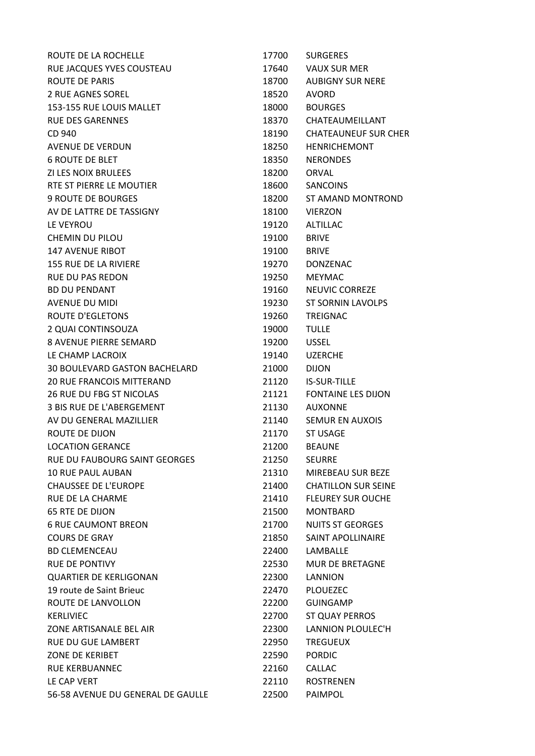| ROUTE DE LA ROCHELLE                 | 17700 | <b>SURGERES</b>             |
|--------------------------------------|-------|-----------------------------|
| RUE JACQUES YVES COUSTEAU            | 17640 | <b>VAUX SUR MER</b>         |
| ROUTE DE PARIS                       | 18700 | <b>AUBIGNY SUR NERE</b>     |
| <b>2 RUE AGNES SOREL</b>             | 18520 | <b>AVORD</b>                |
| 153-155 RUE LOUIS MALLET             | 18000 | <b>BOURGES</b>              |
| <b>RUE DES GARENNES</b>              | 18370 | CHATEAUMEILLANT             |
| CD 940                               | 18190 | <b>CHATEAUNEUF SUR CHER</b> |
| <b>AVENUE DE VERDUN</b>              | 18250 | <b>HENRICHEMONT</b>         |
| <b>6 ROUTE DE BLET</b>               | 18350 | <b>NERONDES</b>             |
| ZI LES NOIX BRULEES                  | 18200 | <b>ORVAL</b>                |
| RTE ST PIERRE LE MOUTIER             | 18600 | <b>SANCOINS</b>             |
| <b>9 ROUTE DE BOURGES</b>            | 18200 | <b>ST AMAND MONTROND</b>    |
| AV DE LATTRE DE TASSIGNY             | 18100 | <b>VIERZON</b>              |
| LE VEYROU                            | 19120 | <b>ALTILLAC</b>             |
| <b>CHEMIN DU PILOU</b>               | 19100 | <b>BRIVE</b>                |
| <b>147 AVENUE RIBOT</b>              | 19100 | <b>BRIVE</b>                |
| 155 RUE DE LA RIVIERE                | 19270 | <b>DONZENAC</b>             |
| <b>RUE DU PAS REDON</b>              | 19250 | <b>MEYMAC</b>               |
| <b>BD DU PENDANT</b>                 | 19160 | <b>NEUVIC CORREZE</b>       |
| <b>AVENUE DU MIDI</b>                | 19230 | <b>ST SORNIN LAVOLPS</b>    |
| <b>ROUTE D'EGLETONS</b>              | 19260 | <b>TREIGNAC</b>             |
| 2 QUAI CONTINSOUZA                   | 19000 | <b>TULLE</b>                |
| 8 AVENUE PIERRE SEMARD               | 19200 | <b>USSEL</b>                |
| LE CHAMP LACROIX                     | 19140 | <b>UZERCHE</b>              |
| <b>30 BOULEVARD GASTON BACHELARD</b> | 21000 | <b>DIJON</b>                |
| <b>20 RUE FRANCOIS MITTERAND</b>     | 21120 | <b>IS-SUR-TILLE</b>         |
| <b>26 RUE DU FBG ST NICOLAS</b>      | 21121 | <b>FONTAINE LES DIJON</b>   |
| 3 BIS RUE DE L'ABERGEMENT            | 21130 | <b>AUXONNE</b>              |
| AV DU GENERAL MAZILLIER              | 21140 | <b>SEMUR EN AUXOIS</b>      |
| <b>ROUTE DE DIJON</b>                | 21170 | <b>ST USAGE</b>             |
| <b>LOCATION GERANCE</b>              | 21200 | <b>BEAUNE</b>               |
| RUE DU FAUBOURG SAINT GEORGES        | 21250 | <b>SEURRE</b>               |
| <b>10 RUE PAUL AUBAN</b>             | 21310 | MIREBEAU SUR BEZE           |
| <b>CHAUSSEE DE L'EUROPE</b>          | 21400 | <b>CHATILLON SUR SEINE</b>  |
| <b>RUE DE LA CHARME</b>              | 21410 | <b>FLEUREY SUR OUCHE</b>    |
| <b>65 RTE DE DIJON</b>               | 21500 | <b>MONTBARD</b>             |
| <b>6 RUE CAUMONT BREON</b>           | 21700 | <b>NUITS ST GEORGES</b>     |
| <b>COURS DE GRAY</b>                 | 21850 | SAINT APOLLINAIRE           |
| <b>BD CLEMENCEAU</b>                 | 22400 | LAMBALLE                    |
| <b>RUE DE PONTIVY</b>                | 22530 | <b>MUR DE BRETAGNE</b>      |
| <b>QUARTIER DE KERLIGONAN</b>        | 22300 | <b>LANNION</b>              |
| 19 route de Saint Brieuc             | 22470 | <b>PLOUEZEC</b>             |
| ROUTE DE LANVOLLON                   | 22200 | <b>GUINGAMP</b>             |
| <b>KERLIVIEC</b>                     | 22700 | ST QUAY PERROS              |
| ZONE ARTISANALE BEL AIR              | 22300 | LANNION PLOULEC'H           |
| <b>RUE DU GUE LAMBERT</b>            | 22950 | <b>TREGUEUX</b>             |
| ZONE DE KERIBET                      | 22590 | <b>PORDIC</b>               |
| <b>RUE KERBUANNEC</b>                | 22160 | <b>CALLAC</b>               |
| LE CAP VERT                          | 22110 | <b>ROSTRENEN</b>            |
| 56-58 AVENUE DU GENERAL DE GAULLE    | 22500 | PAIMPOL                     |
|                                      |       |                             |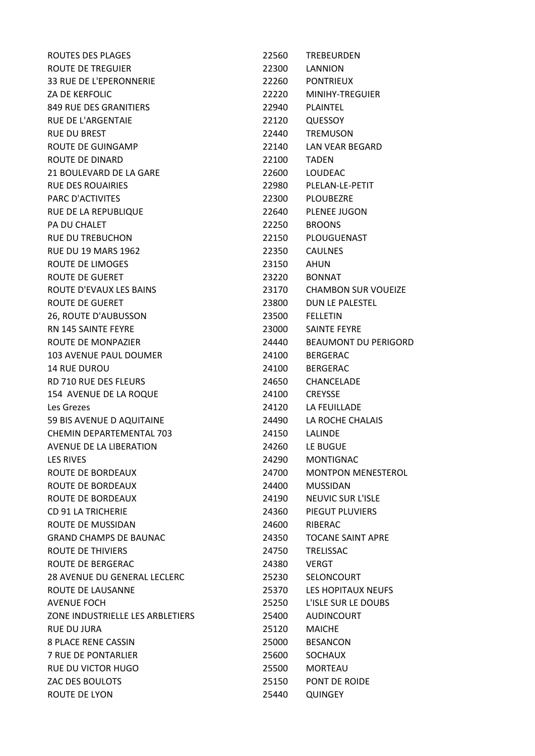| ROUTES DES PLAGES                | 22560 | <b>TREBEURDEN</b>           |
|----------------------------------|-------|-----------------------------|
| ROUTE DE TREGUIER                | 22300 | LANNION                     |
| 33 RUE DE L'EPERONNERIE          | 22260 | <b>PONTRIEUX</b>            |
| <b>ZA DE KERFOLIC</b>            | 22220 | MINIHY-TREGUIER             |
| 849 RUE DES GRANITIERS           | 22940 | <b>PLAINTEL</b>             |
| <b>RUE DE L'ARGENTAIE</b>        | 22120 | QUESSOY                     |
| <b>RUE DU BREST</b>              | 22440 | <b>TREMUSON</b>             |
| ROUTE DE GUINGAMP                | 22140 | LAN VEAR BEGARD             |
| <b>ROUTE DE DINARD</b>           | 22100 | <b>TADEN</b>                |
| 21 BOULEVARD DE LA GARE          | 22600 | LOUDEAC                     |
| <b>RUE DES ROUAIRIES</b>         | 22980 | PLELAN-LE-PETIT             |
| PARC D'ACTIVITES                 | 22300 | PLOUBEZRE                   |
| RUE DE LA REPUBLIQUE             | 22640 | PLENEE JUGON                |
| PA DU CHALET                     | 22250 | <b>BROONS</b>               |
| <b>RUE DU TREBUCHON</b>          | 22150 | PLOUGUENAST                 |
| <b>RUE DU 19 MARS 1962</b>       | 22350 | <b>CAULNES</b>              |
| ROUTE DE LIMOGES                 | 23150 | <b>AHUN</b>                 |
| ROUTE DE GUERET                  | 23220 | <b>BONNAT</b>               |
| ROUTE D'EVAUX LES BAINS          | 23170 | <b>CHAMBON SUR VOUEIZE</b>  |
| <b>ROUTE DE GUERET</b>           | 23800 | <b>DUN LE PALESTEL</b>      |
| 26, ROUTE D'AUBUSSON             | 23500 | <b>FELLETIN</b>             |
| <b>RN 145 SAINTE FEYRE</b>       | 23000 | <b>SAINTE FEYRE</b>         |
| ROUTE DE MONPAZIER               | 24440 | <b>BEAUMONT DU PERIGORD</b> |
| <b>103 AVENUE PAUL DOUMER</b>    | 24100 | <b>BERGERAC</b>             |
| <b>14 RUE DUROU</b>              | 24100 | <b>BERGERAC</b>             |
| RD 710 RUE DES FLEURS            | 24650 | <b>CHANCELADE</b>           |
| 154 AVENUE DE LA ROQUE           | 24100 | <b>CREYSSE</b>              |
| Les Grezes                       | 24120 | LA FEUILLADE                |
| 59 BIS AVENUE D AQUITAINE        | 24490 | LA ROCHE CHALAIS            |
| CHEMIN DEPARTEMENTAL 703         | 24150 | LALINDE                     |
| AVENUE DE LA LIBERATION          | 24260 | LE BUGUE                    |
| <b>LES RIVES</b>                 | 24290 | <b>MONTIGNAC</b>            |
| ROUTE DE BORDEAUX                | 24700 | <b>MONTPON MENESTEROL</b>   |
| ROUTE DE BORDEAUX                | 24400 | <b>MUSSIDAN</b>             |
| ROUTE DE BORDEAUX                | 24190 | <b>NEUVIC SUR L'ISLE</b>    |
| <b>CD 91 LA TRICHERIE</b>        | 24360 | PIEGUT PLUVIERS             |
| ROUTE DE MUSSIDAN                | 24600 | RIBERAC                     |
| <b>GRAND CHAMPS DE BAUNAC</b>    | 24350 | <b>TOCANE SAINT APRE</b>    |
| <b>ROUTE DE THIVIERS</b>         | 24750 | <b>TRELISSAC</b>            |
| ROUTE DE BERGERAC                | 24380 | <b>VERGT</b>                |
| 28 AVENUE DU GENERAL LECLERC     | 25230 | <b>SELONCOURT</b>           |
| ROUTE DE LAUSANNE                | 25370 | LES HOPITAUX NEUFS          |
| <b>AVENUE FOCH</b>               | 25250 | L'ISLE SUR LE DOUBS         |
| ZONE INDUSTRIELLE LES ARBLETIERS | 25400 | <b>AUDINCOURT</b>           |
| <b>RUE DU JURA</b>               | 25120 | <b>MAICHE</b>               |
| <b>8 PLACE RENE CASSIN</b>       | 25000 | <b>BESANCON</b>             |
| <b>7 RUE DE PONTARLIER</b>       | 25600 | <b>SOCHAUX</b>              |
| <b>RUE DU VICTOR HUGO</b>        | 25500 | <b>MORTEAU</b>              |
| ZAC DES BOULOTS                  | 25150 | PONT DE ROIDE               |
| ROUTE DE LYON                    | 25440 | <b>QUINGEY</b>              |
|                                  |       |                             |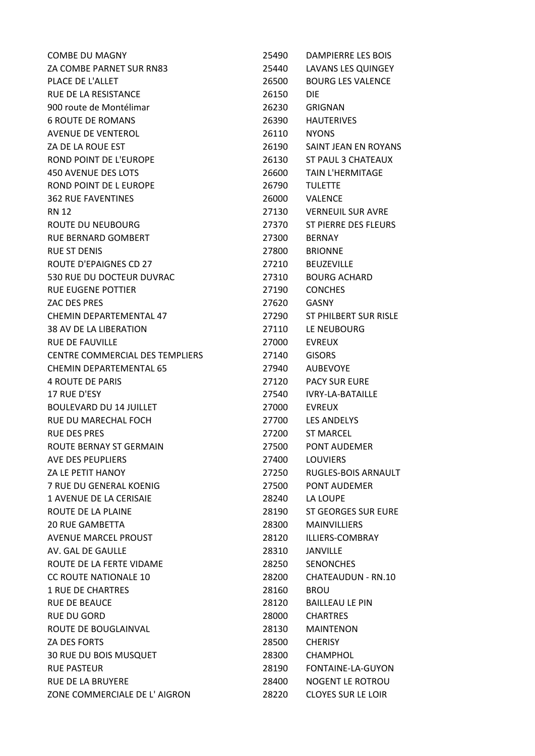| <b>COMBE DU MAGNY</b>           | 25490 | DAMPIERRE LES BOIS           |
|---------------------------------|-------|------------------------------|
| ZA COMBE PARNET SUR RN83        | 25440 | LAVANS LES QUINGEY           |
| PLACE DE L'ALLET                | 26500 | <b>BOURG LES VALENCE</b>     |
| RUE DE LA RESISTANCE            | 26150 | DIE.                         |
| 900 route de Montélimar         | 26230 | <b>GRIGNAN</b>               |
| <b>6 ROUTE DE ROMANS</b>        | 26390 | <b>HAUTERIVES</b>            |
| AVENUE DE VENTEROL              | 26110 | <b>NYONS</b>                 |
| ZA DE LA ROUE EST               | 26190 | SAINT JEAN EN ROYANS         |
| ROND POINT DE L'EUROPE          | 26130 | ST PAUL 3 CHATEAUX           |
| 450 AVENUE DES LOTS             | 26600 | <b>TAIN L'HERMITAGE</b>      |
| ROND POINT DE L EUROPE          | 26790 | <b>TULETTE</b>               |
| <b>362 RUE FAVENTINES</b>       | 26000 | <b>VALENCE</b>               |
| <b>RN 12</b>                    | 27130 | <b>VERNEUIL SUR AVRE</b>     |
| ROUTE DU NEUBOURG               | 27370 | ST PIERRE DES FLEURS         |
| RUE BERNARD GOMBERT             | 27300 | <b>BERNAY</b>                |
| <b>RUE ST DENIS</b>             | 27800 | <b>BRIONNE</b>               |
| <b>ROUTE D'EPAIGNES CD 27</b>   | 27210 | <b>BEUZEVILLE</b>            |
| 530 RUE DU DOCTEUR DUVRAC       | 27310 | <b>BOURG ACHARD</b>          |
| <b>RUE EUGENE POTTIER</b>       | 27190 | <b>CONCHES</b>               |
| ZAC DES PRES                    | 27620 | GASNY                        |
| CHEMIN DEPARTEMENTAL 47         | 27290 | <b>ST PHILBERT SUR RISLE</b> |
| 38 AV DE LA LIBERATION          | 27110 | LE NEUBOURG                  |
| <b>RUE DE FAUVILLE</b>          | 27000 | <b>EVREUX</b>                |
| CENTRE COMMERCIAL DES TEMPLIERS | 27140 | <b>GISORS</b>                |
| <b>CHEMIN DEPARTEMENTAL 65</b>  | 27940 | <b>AUBEVOYE</b>              |
| <b>4 ROUTE DE PARIS</b>         | 27120 | <b>PACY SUR EURE</b>         |
| 17 RUE D'ESY                    | 27540 | <b>IVRY-LA-BATAILLE</b>      |
| <b>BOULEVARD DU 14 JUILLET</b>  | 27000 | <b>EVREUX</b>                |
| RUE DU MARECHAL FOCH            | 27700 | <b>LES ANDELYS</b>           |
| <b>RUE DES PRES</b>             | 27200 | <b>ST MARCEL</b>             |
| ROUTE BERNAY ST GERMAIN         | 27500 | PONT AUDEMER                 |
| AVE DES PEUPLIERS               | 27400 | <b>LOUVIERS</b>              |
| ZA LE PETIT HANOY               | 27250 | RUGLES-BOIS ARNAULT          |
| 7 RUE DU GENERAL KOENIG         | 27500 | PONT AUDEMER                 |
| <b>1 AVENUE DE LA CERISAIE</b>  | 28240 | LA LOUPE                     |
| ROUTE DE LA PLAINE              | 28190 | <b>ST GEORGES SUR EURE</b>   |
| <b>20 RUE GAMBETTA</b>          | 28300 | <b>MAINVILLIERS</b>          |
| <b>AVENUE MARCEL PROUST</b>     | 28120 | ILLIERS-COMBRAY              |
| AV. GAL DE GAULLE               | 28310 | JANVILLE                     |
| ROUTE DE LA FERTE VIDAME        | 28250 | <b>SENONCHES</b>             |
| <b>CC ROUTE NATIONALE 10</b>    | 28200 | CHATEAUDUN - RN.10           |
| <b>1 RUE DE CHARTRES</b>        | 28160 | <b>BROU</b>                  |
| <b>RUE DE BEAUCE</b>            | 28120 | <b>BAILLEAU LE PIN</b>       |
| <b>RUE DU GORD</b>              | 28000 | <b>CHARTRES</b>              |
| ROUTE DE BOUGLAINVAL            | 28130 | <b>MAINTENON</b>             |
| ZA DES FORTS                    | 28500 | <b>CHERISY</b>               |
| 30 RUE DU BOIS MUSQUET          | 28300 | <b>CHAMPHOL</b>              |
| <b>RUE PASTEUR</b>              | 28190 | FONTAINE-LA-GUYON            |
| <b>RUE DE LA BRUYERE</b>        | 28400 | NOGENT LE ROTROU             |
| ZONE COMMERCIALE DE L' AIGRON   | 28220 | <b>CLOYES SUR LE LOIR</b>    |
|                                 |       |                              |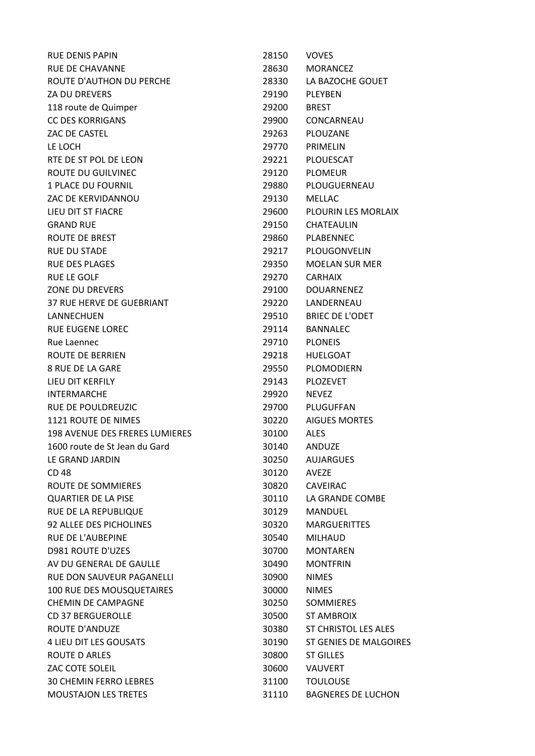| <b>RUE DENIS PAPIN</b>                | 28150 | <b>VOVES</b>                  |
|---------------------------------------|-------|-------------------------------|
| <b>RUE DE CHAVANNE</b>                | 28630 | <b>MORANCEZ</b>               |
| ROUTE D'AUTHON DU PERCHE              | 28330 | LA BAZOCHE GOUET              |
| <b>ZA DU DREVERS</b>                  | 29190 | PLEYBEN                       |
| 118 route de Quimper                  | 29200 | <b>BREST</b>                  |
| <b>CC DES KORRIGANS</b>               | 29900 | CONCARNEAU                    |
| ZAC DE CASTEL                         | 29263 | PLOUZANE                      |
| LE LOCH                               | 29770 | PRIMELIN                      |
| RTE DE ST POL DE LEON                 | 29221 | <b>PLOUESCAT</b>              |
| <b>ROUTE DU GUILVINEC</b>             | 29120 | <b>PLOMEUR</b>                |
| <b>1 PLACE DU FOURNIL</b>             | 29880 | PLOUGUERNEAU                  |
| ZAC DE KERVIDANNOU                    | 29130 | <b>MELLAC</b>                 |
| LIEU DIT ST FIACRE                    | 29600 | PLOURIN LES MORLAIX           |
| <b>GRAND RUE</b>                      | 29150 | CHATEAULIN                    |
| ROUTE DE BREST                        | 29860 | PLABENNEC                     |
| <b>RUE DU STADE</b>                   | 29217 | PLOUGONVELIN                  |
| <b>RUE DES PLAGES</b>                 | 29350 | <b>MOELAN SUR MER</b>         |
| <b>RUE LE GOLF</b>                    | 29270 | <b>CARHAIX</b>                |
| <b>ZONE DU DREVERS</b>                | 29100 | <b>DOUARNENEZ</b>             |
| 37 RUE HERVE DE GUEBRIANT             | 29220 | LANDERNEAU                    |
| LANNECHUEN                            | 29510 | <b>BRIEC DE L'ODET</b>        |
| <b>RUE EUGENE LOREC</b>               | 29114 | <b>BANNALEC</b>               |
| Rue Laennec                           | 29710 | <b>PLONEIS</b>                |
| ROUTE DE BERRIEN                      | 29218 | <b>HUELGOAT</b>               |
| <b>8 RUE DE LA GARE</b>               | 29550 | PLOMODIERN                    |
| LIEU DIT KERFILY                      | 29143 | <b>PLOZEVET</b>               |
| <b>INTERMARCHE</b>                    | 29920 | <b>NEVEZ</b>                  |
| RUE DE POULDREUZIC                    | 29700 | PLUGUFFAN                     |
| 1121 ROUTE DE NIMES                   | 30220 | <b>AIGUES MORTES</b>          |
| <b>198 AVENUE DES FRERES LUMIERES</b> | 30100 | <b>ALES</b>                   |
| 1600 route de St Jean du Gard         | 30140 | ANDUZE                        |
| LE GRAND JARDIN                       | 30250 | <b>AUJARGUES</b>              |
| CD 48                                 | 30120 | <b>AVEZE</b>                  |
| ROUTE DE SOMMIERES                    | 30820 | <b>CAVEIRAC</b>               |
| <b>QUARTIER DE LA PISE</b>            | 30110 | LA GRANDE COMBE               |
| RUE DE LA REPUBLIQUE                  | 30129 | <b>MANDUEL</b>                |
| 92 ALLEE DES PICHOLINES               | 30320 | <b>MARGUERITTES</b>           |
| RUE DE L'AUBEPINE                     | 30540 | <b>MILHAUD</b>                |
| <b>D981 ROUTE D'UZES</b>              | 30700 | <b>MONTAREN</b>               |
| AV DU GENERAL DE GAULLE               | 30490 | <b>MONTFRIN</b>               |
| RUE DON SAUVEUR PAGANELLI             | 30900 | <b>NIMES</b>                  |
| 100 RUE DES MOUSQUETAIRES             | 30000 | <b>NIMES</b>                  |
| <b>CHEMIN DE CAMPAGNE</b>             | 30250 | <b>SOMMIERES</b>              |
| <b>CD 37 BERGUEROLLE</b>              | 30500 | <b>ST AMBROIX</b>             |
| <b>ROUTE D'ANDUZE</b>                 | 30380 | <b>ST CHRISTOL LES ALES</b>   |
| 4 LIEU DIT LES GOUSATS                | 30190 | <b>ST GENIES DE MALGOIRES</b> |
| <b>ROUTE D ARLES</b>                  | 30800 | <b>ST GILLES</b>              |
| ZAC COTE SOLEIL                       | 30600 | <b>VAUVERT</b>                |
| <b>30 CHEMIN FERRO LEBRES</b>         | 31100 | <b>TOULOUSE</b>               |
| <b>MOUSTAJON LES TRETES</b>           | 31110 | <b>BAGNERES DE LUCHON</b>     |
|                                       |       |                               |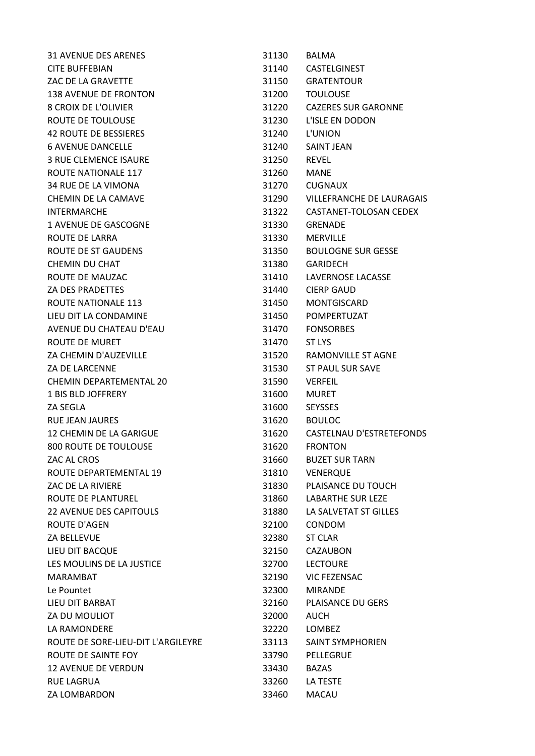| <b>31 AVENUE DES ARENES</b>        | 31130 | <b>BALMA</b>               |
|------------------------------------|-------|----------------------------|
| <b>CITE BUFFEBIAN</b>              | 31140 | <b>CASTELGINEST</b>        |
| ZAC DE LA GRAVETTE                 | 31150 | <b>GRATENTOUR</b>          |
| <b>138 AVENUE DE FRONTON</b>       | 31200 | <b>TOULOUSE</b>            |
| <b>8 CROIX DE L'OLIVIER</b>        | 31220 | <b>CAZERES SUR GARONNE</b> |
| ROUTE DE TOULOUSE                  | 31230 | L'ISLE EN DODON            |
| <b>42 ROUTE DE BESSIERES</b>       | 31240 | L'UNION                    |
| <b>6 AVENUE DANCELLE</b>           | 31240 | <b>SAINT JEAN</b>          |
| <b>3 RUE CLEMENCE ISAURE</b>       | 31250 | <b>REVEL</b>               |
| ROUTE NATIONALE 117                | 31260 | <b>MANE</b>                |
| 34 RUE DE LA VIMONA                | 31270 | CUGNAUX                    |
| CHEMIN DE LA CAMAVE                | 31290 | VILLEFRANCHE DE LAURAGAIS  |
| <b>INTERMARCHE</b>                 | 31322 | CASTANET-TOLOSAN CEDEX     |
| 1 AVENUE DE GASCOGNE               | 31330 | <b>GRENADE</b>             |
| ROUTE DE LARRA                     | 31330 | <b>MERVILLE</b>            |
| <b>ROUTE DE ST GAUDENS</b>         | 31350 | <b>BOULOGNE SUR GESSE</b>  |
| CHEMIN DU CHAT                     | 31380 | <b>GARIDECH</b>            |
| ROUTE DE MAUZAC                    | 31410 | LAVERNOSE LACASSE          |
| <b>ZA DES PRADETTES</b>            | 31440 | <b>CIERP GAUD</b>          |
| <b>ROUTE NATIONALE 113</b>         | 31450 | <b>MONTGISCARD</b>         |
| LIEU DIT LA CONDAMINE              | 31450 | POMPERTUZAT                |
| AVENUE DU CHATEAU D'EAU            | 31470 | <b>FONSORBES</b>           |
| ROUTE DE MURET                     | 31470 | ST LYS                     |
| ZA CHEMIN D'AUZEVILLE              | 31520 | <b>RAMONVILLE ST AGNE</b>  |
| <b>ZA DE LARCENNE</b>              | 31530 | <b>ST PAUL SUR SAVE</b>    |
| CHEMIN DEPARTEMENTAL 20            | 31590 | <b>VERFEIL</b>             |
| 1 BIS BLD JOFFRERY                 | 31600 | <b>MURET</b>               |
| ZA SEGLA                           | 31600 | <b>SEYSSES</b>             |
| RUE JEAN JAURES                    | 31620 | <b>BOULOC</b>              |
| 12 CHEMIN DE LA GARIGUE            | 31620 | CASTELNAU D'ESTRETEFONDS   |
| 800 ROUTE DE TOULOUSE              | 31620 | <b>FRONTON</b>             |
| ZAC AL CROS                        | 31660 | <b>BUZET SUR TARN</b>      |
| ROUTE DEPARTEMENTAL 19             | 31810 | <b>VENERQUE</b>            |
| <b>ZAC DE LA RIVIERE</b>           | 31830 | PLAISANCE DU TOUCH         |
| ROUTE DE PLANTUREL                 | 31860 | <b>LABARTHE SUR LEZE</b>   |
| <b>22 AVENUE DES CAPITOULS</b>     | 31880 | LA SALVETAT ST GILLES      |
| ROUTE D'AGEN                       | 32100 | <b>CONDOM</b>              |
| <b>ZA BELLEVUE</b>                 | 32380 | <b>ST CLAR</b>             |
| LIEU DIT BACQUE                    | 32150 | CAZAUBON                   |
| LES MOULINS DE LA JUSTICE          | 32700 | <b>LECTOURE</b>            |
| MARAMBAT                           | 32190 | <b>VIC FEZENSAC</b>        |
| Le Pountet                         | 32300 | <b>MIRANDE</b>             |
| LIEU DIT BARBAT                    | 32160 | <b>PLAISANCE DU GERS</b>   |
| ZA DU MOULIOT                      | 32000 | <b>AUCH</b>                |
| LA RAMONDERE                       | 32220 | <b>LOMBEZ</b>              |
| ROUTE DE SORE-LIEU-DIT L'ARGILEYRE | 33113 | <b>SAINT SYMPHORIEN</b>    |
| ROUTE DE SAINTE FOY                | 33790 | PELLEGRUE                  |
| <b>12 AVENUE DE VERDUN</b>         | 33430 | <b>BAZAS</b>               |
| <b>RUE LAGRUA</b>                  | 33260 | LA TESTE                   |
| ZA LOMBARDON                       | 33460 | <b>MACAU</b>               |
|                                    |       |                            |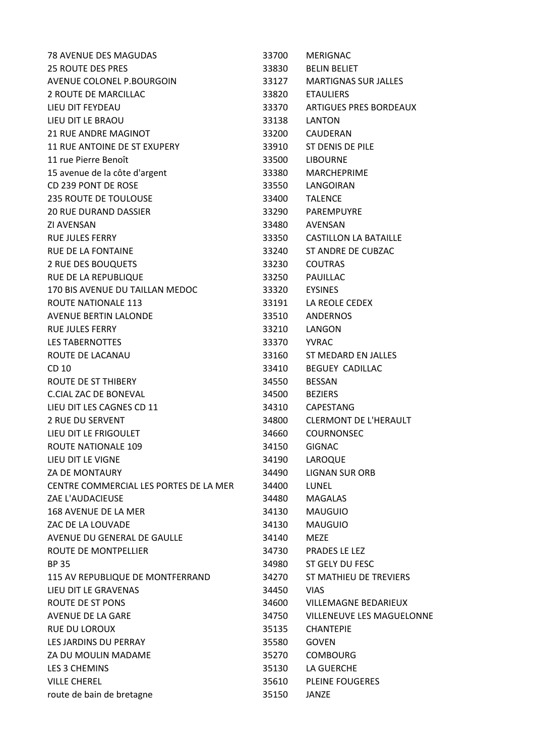| 78 AVENUE DES MAGUDAS                  | 33700 | <b>MERIGNAC</b>               |
|----------------------------------------|-------|-------------------------------|
| <b>25 ROUTE DES PRES</b>               | 33830 | <b>BELIN BELIET</b>           |
| AVENUE COLONEL P.BOURGOIN              | 33127 | <b>MARTIGNAS SUR JALLES</b>   |
| 2 ROUTE DE MARCILLAC                   | 33820 | <b>ETAULIERS</b>              |
| LIEU DIT FEYDEAU                       | 33370 | <b>ARTIGUES PRES BORDEAUX</b> |
| LIEU DIT LE BRAOU                      | 33138 | LANTON                        |
| <b>21 RUE ANDRE MAGINOT</b>            | 33200 | CAUDERAN                      |
| <b>11 RUE ANTOINE DE ST EXUPERY</b>    | 33910 | <b>ST DENIS DE PILE</b>       |
| 11 rue Pierre Benoît                   | 33500 | <b>LIBOURNE</b>               |
| 15 avenue de la côte d'argent          | 33380 | <b>MARCHEPRIME</b>            |
| CD 239 PONT DE ROSE                    | 33550 | LANGOIRAN                     |
| <b>235 ROUTE DE TOULOUSE</b>           | 33400 | <b>TALENCE</b>                |
| <b>20 RUE DURAND DASSIER</b>           | 33290 | PAREMPUYRE                    |
| <b>ZI AVENSAN</b>                      | 33480 | AVENSAN                       |
| <b>RUE JULES FERRY</b>                 | 33350 | <b>CASTILLON LA BATAILLE</b>  |
| <b>RUE DE LA FONTAINE</b>              | 33240 | ST ANDRE DE CUBZAC            |
| 2 RUE DES BOUQUETS                     | 33230 | <b>COUTRAS</b>                |
| RUE DE LA REPUBLIQUE                   | 33250 | PAUILLAC                      |
| 170 BIS AVENUE DU TAILLAN MEDOC        | 33320 | <b>EYSINES</b>                |
| <b>ROUTE NATIONALE 113</b>             | 33191 | LA REOLE CEDEX                |
| <b>AVENUE BERTIN LALONDE</b>           | 33510 | <b>ANDERNOS</b>               |
| <b>RUE JULES FERRY</b>                 | 33210 | LANGON                        |
| <b>LES TABERNOTTES</b>                 | 33370 | <b>YVRAC</b>                  |
| ROUTE DE LACANAU                       | 33160 | ST MEDARD EN JALLES           |
| CD 10                                  | 33410 | <b>BEGUEY CADILLAC</b>        |
| <b>ROUTE DE ST THIBERY</b>             | 34550 | <b>BESSAN</b>                 |
| <b>C.CIAL ZAC DE BONEVAL</b>           | 34500 | <b>BEZIERS</b>                |
| LIEU DIT LES CAGNES CD 11              | 34310 | CAPESTANG                     |
| <b>2 RUE DU SERVENT</b>                | 34800 | <b>CLERMONT DE L'HERAULT</b>  |
| LIEU DIT LE FRIGOULET                  | 34660 | <b>COURNONSEC</b>             |
| <b>ROUTE NATIONALE 109</b>             | 34150 | <b>GIGNAC</b>                 |
| LIEU DIT LE VIGNE                      | 34190 | LAROQUE                       |
| <b>ZA DE MONTAURY</b>                  | 34490 | <b>LIGNAN SUR ORB</b>         |
| CENTRE COMMERCIAL LES PORTES DE LA MER | 34400 | LUNEL                         |
| ZAE L'AUDACIEUSE                       | 34480 | <b>MAGALAS</b>                |
| 168 AVENUE DE LA MER                   | 34130 | <b>MAUGUIO</b>                |
| ZAC DE LA LOUVADE                      | 34130 | <b>MAUGUIO</b>                |
| AVENUE DU GENERAL DE GAULLE            | 34140 | <b>MEZE</b>                   |
| ROUTE DE MONTPELLIER                   | 34730 | PRADES LE LEZ                 |
| <b>BP 35</b>                           | 34980 | ST GELY DU FESC               |
| 115 AV REPUBLIQUE DE MONTFERRAND       | 34270 | ST MATHIEU DE TREVIERS        |
| LIEU DIT LE GRAVENAS                   | 34450 | <b>VIAS</b>                   |
| ROUTE DE ST PONS                       | 34600 | <b>VILLEMAGNE BEDARIEUX</b>   |
| AVENUE DE LA GARE                      | 34750 | VILLENEUVE LES MAGUELONNE     |
| <b>RUE DU LOROUX</b>                   | 35135 | <b>CHANTEPIE</b>              |
| LES JARDINS DU PERRAY                  | 35580 | <b>GOVEN</b>                  |
| ZA DU MOULIN MADAME                    | 35270 | <b>COMBOURG</b>               |
| LES 3 CHEMINS                          | 35130 | LA GUERCHE                    |
| <b>VILLE CHEREL</b>                    | 35610 | <b>PLEINE FOUGERES</b>        |
| route de bain de bretagne              | 35150 | JANZE                         |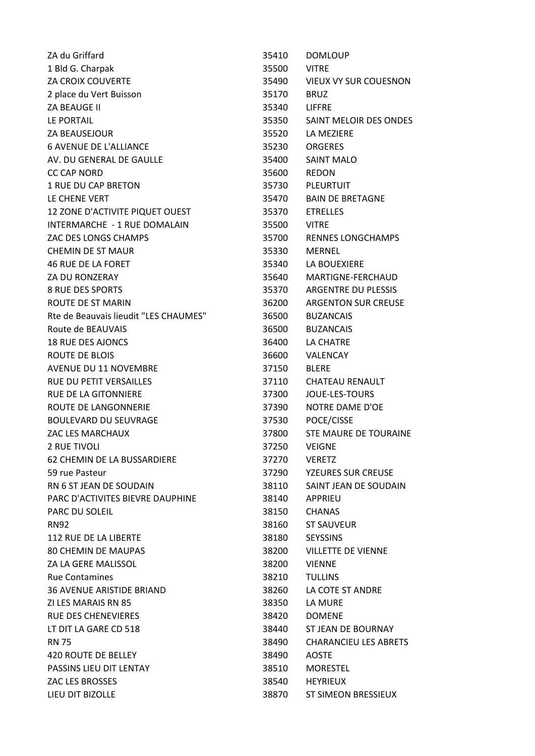| ZA du Griffard                        | 35410 | <b>DOMLOUP</b>               |
|---------------------------------------|-------|------------------------------|
| 1 Bld G. Charpak                      | 35500 | <b>VITRE</b>                 |
| ZA CROIX COUVERTE                     |       | 35490 VIEUX VY SUR COUESNON  |
| 2 place du Vert Buisson               | 35170 | <b>BRUZ</b>                  |
| ZA BEAUGE II                          | 35340 | <b>LIFFRE</b>                |
| LE PORTAIL                            | 35350 | SAINT MELOIR DES ONDES       |
| <b>ZA BEAUSEJOUR</b>                  | 35520 | LA MEZIERE                   |
| <b>6 AVENUE DE L'ALLIANCE</b>         | 35230 | <b>ORGERES</b>               |
| AV. DU GENERAL DE GAULLE              | 35400 | <b>SAINT MALO</b>            |
| <b>CC CAP NORD</b>                    | 35600 | <b>REDON</b>                 |
| <b>1 RUE DU CAP BRETON</b>            | 35730 | PLEURTUIT                    |
| LE CHENE VERT                         | 35470 | <b>BAIN DE BRETAGNE</b>      |
| 12 ZONE D'ACTIVITE PIQUET OUEST       | 35370 | <b>ETRELLES</b>              |
| INTERMARCHE - 1 RUE DOMALAIN          | 35500 | <b>VITRE</b>                 |
| ZAC DES LONGS CHAMPS                  | 35700 | <b>RENNES LONGCHAMPS</b>     |
| <b>CHEMIN DE ST MAUR</b>              | 35330 | <b>MERNEL</b>                |
| <b>46 RUE DE LA FORET</b>             | 35340 | LA BOUEXIERE                 |
| ZA DU RONZERAY                        | 35640 | MARTIGNE-FERCHAUD            |
| <b>8 RUE DES SPORTS</b>               | 35370 | <b>ARGENTRE DU PLESSIS</b>   |
| <b>ROUTE DE ST MARIN</b>              | 36200 | <b>ARGENTON SUR CREUSE</b>   |
| Rte de Beauvais lieudit "LES CHAUMES" | 36500 | <b>BUZANCAIS</b>             |
| Route de BEAUVAIS                     | 36500 | <b>BUZANCAIS</b>             |
| <b>18 RUE DES AJONCS</b>              | 36400 | LA CHATRE                    |
| ROUTE DE BLOIS                        | 36600 | VALENCAY                     |
| <b>AVENUE DU 11 NOVEMBRE</b>          | 37150 | <b>BLERE</b>                 |
| RUE DU PETIT VERSAILLES               | 37110 | <b>CHATEAU RENAULT</b>       |
| <b>RUE DE LA GITONNIERE</b>           | 37300 | <b>JOUE-LES-TOURS</b>        |
| ROUTE DE LANGONNERIE                  | 37390 | NOTRE DAME D'OE              |
| <b>BOULEVARD DU SEUVRAGE</b>          | 37530 | POCE/CISSE                   |
| ZAC LES MARCHAUX                      | 37800 | STE MAURE DE TOURAINE        |
| 2 RUE TIVOLI                          | 37250 | <b>VEIGNE</b>                |
| 62 CHEMIN DE LA BUSSARDIERE           | 37270 | <b>VERETZ</b>                |
| 59 rue Pasteur                        | 37290 | <b>YZEURES SUR CREUSE</b>    |
| RN 6 ST JEAN DE SOUDAIN               | 38110 | SAINT JEAN DE SOUDAIN        |
| PARC D'ACTIVITES BIEVRE DAUPHINE      | 38140 | <b>APPRIEU</b>               |
| PARC DU SOLEIL                        | 38150 | <b>CHANAS</b>                |
| <b>RN92</b>                           | 38160 | <b>ST SAUVEUR</b>            |
| <b>112 RUE DE LA LIBERTE</b>          | 38180 | <b>SEYSSINS</b>              |
| <b>80 CHEMIN DE MAUPAS</b>            | 38200 | <b>VILLETTE DE VIENNE</b>    |
| ZA LA GERE MALISSOL                   | 38200 | <b>VIENNE</b>                |
| <b>Rue Contamines</b>                 | 38210 | <b>TULLINS</b>               |
| <b>36 AVENUE ARISTIDE BRIAND</b>      |       | LA COTE ST ANDRE             |
| ZI LES MARAIS RN 85                   | 38260 | LA MURE                      |
|                                       | 38350 |                              |
| <b>RUE DES CHENEVIERES</b>            | 38420 | <b>DOMENE</b>                |
| LT DIT LA GARE CD 518                 | 38440 | ST JEAN DE BOURNAY           |
| <b>RN 75</b>                          | 38490 | <b>CHARANCIEU LES ABRETS</b> |
| 420 ROUTE DE BELLEY                   | 38490 | <b>AOSTE</b>                 |
| PASSINS LIEU DIT LENTAY               | 38510 | <b>MORESTEL</b>              |
| ZAC LES BROSSES                       | 38540 | <b>HEYRIEUX</b>              |
| LIEU DIT BIZOLLE                      | 38870 | ST SIMEON BRESSIEUX          |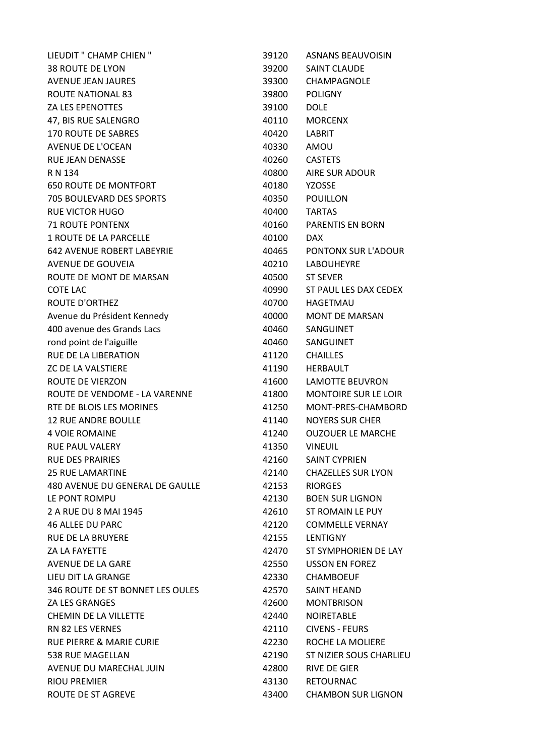| LIEUDIT " CHAMP CHIEN "             | 39120 | <b>ASNANS BEAUVOISIN</b>    |
|-------------------------------------|-------|-----------------------------|
| <b>38 ROUTE DE LYON</b>             | 39200 | <b>SAINT CLAUDE</b>         |
| AVENUE JEAN JAURES                  | 39300 | CHAMPAGNOLE                 |
| <b>ROUTE NATIONAL 83</b>            | 39800 | <b>POLIGNY</b>              |
| <b>ZA LES EPENOTTES</b>             | 39100 | <b>DOLE</b>                 |
| 47, BIS RUE SALENGRO                | 40110 | <b>MORCENX</b>              |
| <b>170 ROUTE DE SABRES</b>          | 40420 | LABRIT                      |
| <b>AVENUE DE L'OCEAN</b>            | 40330 | AMOU                        |
| <b>RUE JEAN DENASSE</b>             | 40260 | <b>CASTETS</b>              |
| R N 134                             | 40800 | <b>AIRE SUR ADOUR</b>       |
| <b>650 ROUTE DE MONTFORT</b>        | 40180 | <b>YZOSSE</b>               |
| <b>705 BOULEVARD DES SPORTS</b>     | 40350 | <b>POUILLON</b>             |
| <b>RUE VICTOR HUGO</b>              | 40400 | <b>TARTAS</b>               |
| <b>71 ROUTE PONTENX</b>             | 40160 | <b>PARENTIS EN BORN</b>     |
| <b>1 ROUTE DE LA PARCELLE</b>       | 40100 | DAX.                        |
| <b>642 AVENUE ROBERT LABEYRIE</b>   | 40465 | PONTONX SUR L'ADOUR         |
| AVENUE DE GOUVEIA                   | 40210 | <b>LABOUHEYRE</b>           |
| ROUTE DE MONT DE MARSAN             | 40500 | <b>ST SEVER</b>             |
| <b>COTE LAC</b>                     | 40990 | ST PAUL LES DAX CEDEX       |
| <b>ROUTE D'ORTHEZ</b>               | 40700 | <b>HAGETMAU</b>             |
| Avenue du Président Kennedy         | 40000 | <b>MONT DE MARSAN</b>       |
| 400 avenue des Grands Lacs          | 40460 | SANGUINET                   |
| rond point de l'aiguille            | 40460 | SANGUINET                   |
| RUE DE LA LIBERATION                | 41120 | <b>CHAILLES</b>             |
| <b>ZC DE LA VALSTIERE</b>           | 41190 | <b>HERBAULT</b>             |
| ROUTE DE VIERZON                    | 41600 | <b>LAMOTTE BEUVRON</b>      |
| ROUTE DE VENDOME - LA VARENNE       | 41800 | <b>MONTOIRE SUR LE LOIR</b> |
| RTE DE BLOIS LES MORINES            | 41250 | MONT-PRES-CHAMBORD          |
| <b>12 RUE ANDRE BOULLE</b>          | 41140 | <b>NOYERS SUR CHER</b>      |
| <b>4 VOIE ROMAINE</b>               | 41240 | <b>OUZOUER LE MARCHE</b>    |
| RUE PAUL VALERY                     | 41350 | <b>VINEUIL</b>              |
| <b>RUE DES PRAIRIES</b>             | 42160 | <b>SAINT CYPRIEN</b>        |
| <b>25 RUE LAMARTINE</b>             | 42140 | <b>CHAZELLES SUR LYON</b>   |
| 480 AVENUE DU GENERAL DE GAULLE     | 42153 | <b>RIORGES</b>              |
| LE PONT ROMPU                       | 42130 | <b>BOEN SUR LIGNON</b>      |
| 2 A RUE DU 8 MAI 1945               | 42610 | ST ROMAIN LE PUY            |
| <b>46 ALLEE DU PARC</b>             | 42120 | <b>COMMELLE VERNAY</b>      |
| <b>RUE DE LA BRUYERE</b>            | 42155 | <b>LENTIGNY</b>             |
| <b>ZA LA FAYETTE</b>                | 42470 | ST SYMPHORIEN DE LAY        |
| AVENUE DE LA GARE                   | 42550 | <b>USSON EN FOREZ</b>       |
| LIEU DIT LA GRANGE                  | 42330 | <b>CHAMBOEUF</b>            |
| 346 ROUTE DE ST BONNET LES OULES    | 42570 | <b>SAINT HEAND</b>          |
| <b>ZA LES GRANGES</b>               | 42600 | <b>MONTBRISON</b>           |
| CHEMIN DE LA VILLETTE               | 42440 | <b>NOIRETABLE</b>           |
| <b>RN 82 LES VERNES</b>             | 42110 | <b>CIVENS - FEURS</b>       |
| <b>RUE PIERRE &amp; MARIE CURIE</b> | 42230 | ROCHE LA MOLIERE            |
| 538 RUE MAGELLAN                    | 42190 | ST NIZIER SOUS CHARLIEU     |
| AVENUE DU MARECHAL JUIN             | 42800 | <b>RIVE DE GIER</b>         |
| <b>RIOU PREMIER</b>                 | 43130 | <b>RETOURNAC</b>            |
| ROUTE DE ST AGREVE                  | 43400 | <b>CHAMBON SUR LIGNON</b>   |
|                                     |       |                             |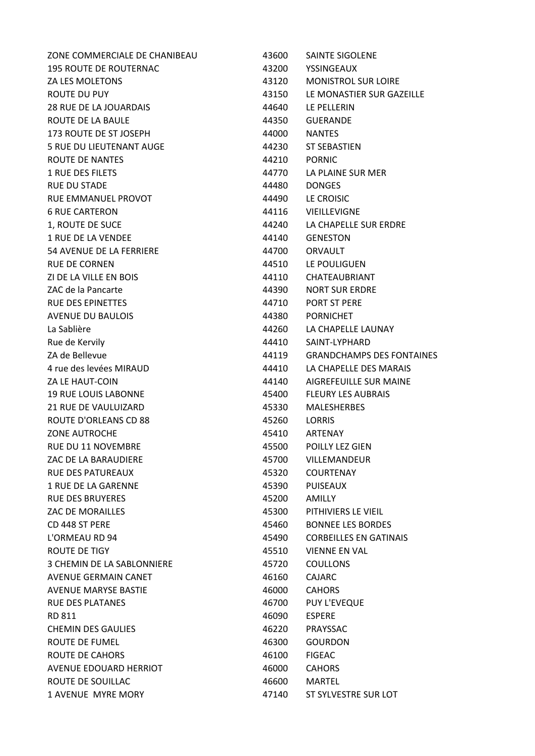| ZONE COMMERCIALE DE CHANIBEAU | 43600 | SAINTE SIGOLENE                  |
|-------------------------------|-------|----------------------------------|
| <b>195 ROUTE DE ROUTERNAC</b> | 43200 | <b>YSSINGEAUX</b>                |
| ZA LES MOLETONS               | 43120 | <b>MONISTROL SUR LOIRE</b>       |
| ROUTE DU PUY                  | 43150 | LE MONASTIER SUR GAZEILLE        |
| 28 RUE DE LA JOUARDAIS        | 44640 | LE PELLERIN                      |
| ROUTE DE LA BAULE             | 44350 | <b>GUERANDE</b>                  |
| 173 ROUTE DE ST JOSEPH        | 44000 | <b>NANTES</b>                    |
| 5 RUE DU LIEUTENANT AUGE      | 44230 | <b>ST SEBASTIEN</b>              |
| ROUTE DE NANTES               | 44210 | <b>PORNIC</b>                    |
| 1 RUE DES FILETS              | 44770 | LA PLAINE SUR MER                |
| <b>RUE DU STADE</b>           | 44480 | <b>DONGES</b>                    |
| RUE EMMANUEL PROVOT           | 44490 | LE CROISIC                       |
| <b>6 RUE CARTERON</b>         | 44116 | VIEILLEVIGNE                     |
| 1, ROUTE DE SUCE              | 44240 | LA CHAPELLE SUR ERDRE            |
| 1 RUE DE LA VENDEE            | 44140 | <b>GENESTON</b>                  |
| 54 AVENUE DE LA FERRIERE      | 44700 | ORVAULT                          |
| <b>RUE DE CORNEN</b>          | 44510 | LE POULIGUEN                     |
| ZI DE LA VILLE EN BOIS        | 44110 | CHATEAUBRIANT                    |
| ZAC de la Pancarte            | 44390 | <b>NORT SUR ERDRE</b>            |
| <b>RUE DES EPINETTES</b>      | 44710 | PORT ST PERE                     |
| AVENUE DU BAULOIS             | 44380 | <b>PORNICHET</b>                 |
| La Sablière                   | 44260 | LA CHAPELLE LAUNAY               |
| Rue de Kervily                | 44410 | SAINT-LYPHARD                    |
| ZA de Bellevue                | 44119 | <b>GRANDCHAMPS DES FONTAINES</b> |
| 4 rue des levées MIRAUD       | 44410 | LA CHAPELLE DES MARAIS           |
| ZA LE HAUT-COIN               | 44140 | AIGREFEUILLE SUR MAINE           |
| <b>19 RUE LOUIS LABONNE</b>   | 45400 | <b>FLEURY LES AUBRAIS</b>        |
| 21 RUE DE VAULUIZARD          | 45330 | <b>MALESHERBES</b>               |
| ROUTE D'ORLEANS CD 88         | 45260 | <b>LORRIS</b>                    |
| <b>ZONE AUTROCHE</b>          | 45410 | ARTENAY                          |
| <b>RUE DU 11 NOVEMBRE</b>     | 45500 | <b>POILLY LEZ GIEN</b>           |
| ZAC DE LA BARAUDIERE          | 45700 | VILLEMANDEUR                     |
| <b>RUE DES PATUREAUX</b>      | 45320 | <b>COURTENAY</b>                 |
| 1 RUE DE LA GARENNE           | 45390 | <b>PUISEAUX</b>                  |
| <b>RUE DES BRUYERES</b>       | 45200 | AMILLY                           |
| ZAC DE MORAILLES              | 45300 | PITHIVIERS LE VIEIL              |
| CD 448 ST PERE                | 45460 | <b>BONNEE LES BORDES</b>         |
| L'ORMEAU RD 94                | 45490 | <b>CORBEILLES EN GATINAIS</b>    |
| ROUTE DE TIGY                 | 45510 | <b>VIENNE EN VAL</b>             |
| 3 CHEMIN DE LA SABLONNIERE    | 45720 | <b>COULLONS</b>                  |
| AVENUE GERMAIN CANET          | 46160 | <b>CAJARC</b>                    |
| <b>AVENUE MARYSE BASTIE</b>   | 46000 | <b>CAHORS</b>                    |
| <b>RUE DES PLATANES</b>       | 46700 | PUY L'EVEQUE                     |
| RD 811                        | 46090 | <b>ESPERE</b>                    |
| <b>CHEMIN DES GAULIES</b>     | 46220 | PRAYSSAC                         |
| ROUTE DE FUMEL                | 46300 | <b>GOURDON</b>                   |
| ROUTE DE CAHORS               | 46100 | <b>FIGEAC</b>                    |
| AVENUE EDOUARD HERRIOT        | 46000 | <b>CAHORS</b>                    |
| ROUTE DE SOUILLAC             | 46600 | <b>MARTEL</b>                    |
| 1 AVENUE MYRE MORY            | 47140 | ST SYLVESTRE SUR LOT             |
|                               |       |                                  |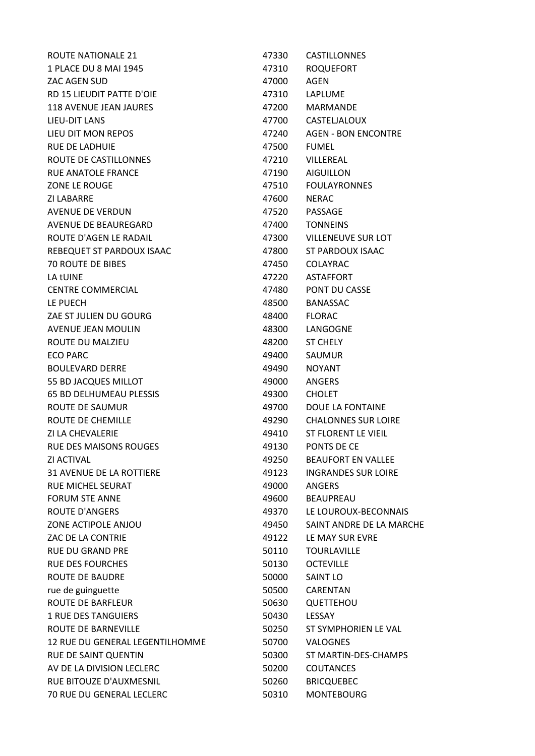| ROUTE NATIONALE 21              | 47330 | CASTILLONNES               |
|---------------------------------|-------|----------------------------|
| 1 PLACE DU 8 MAI 1945           | 47310 | <b>ROQUEFORT</b>           |
| ZAC AGEN SUD                    | 47000 | AGEN                       |
| RD 15 LIEUDIT PATTE D'OIE       | 47310 | LAPLUME                    |
| <b>118 AVENUE JEAN JAURES</b>   | 47200 | <b>MARMANDE</b>            |
| LIEU-DIT LANS                   | 47700 | CASTELJALOUX               |
| LIEU DIT MON REPOS              | 47240 | <b>AGEN - BON ENCONTRE</b> |
| <b>RUE DE LADHUIE</b>           | 47500 | <b>FUMEL</b>               |
| ROUTE DE CASTILLONNES           | 47210 | VILLEREAL                  |
| RUE ANATOLE FRANCE              | 47190 | <b>AIGUILLON</b>           |
| <b>ZONE LE ROUGE</b>            | 47510 | <b>FOULAYRONNES</b>        |
| ZI LABARRE                      | 47600 | <b>NERAC</b>               |
| AVENUE DE VERDUN                | 47520 | PASSAGE                    |
| AVENUE DE BEAUREGARD            | 47400 | <b>TONNEINS</b>            |
| ROUTE D'AGEN LE RADAIL          | 47300 | <b>VILLENEUVE SUR LOT</b>  |
| REBEQUET ST PARDOUX ISAAC       | 47800 | ST PARDOUX ISAAC           |
| <b>70 ROUTE DE BIBES</b>        | 47450 | <b>COLAYRAC</b>            |
| LA tUINE                        | 47220 | <b>ASTAFFORT</b>           |
| <b>CENTRE COMMERCIAL</b>        | 47480 | PONT DU CASSE              |
| LE PUECH                        | 48500 | <b>BANASSAC</b>            |
| ZAE ST JULIEN DU GOURG          | 48400 | <b>FLORAC</b>              |
| AVENUE JEAN MOULIN              | 48300 | LANGOGNE                   |
| ROUTE DU MALZIEU                | 48200 | <b>ST CHELY</b>            |
| <b>ECO PARC</b>                 | 49400 | SAUMUR                     |
| <b>BOULEVARD DERRE</b>          | 49490 | <b>NOYANT</b>              |
| 55 BD JACQUES MILLOT            | 49000 | <b>ANGERS</b>              |
| <b>65 BD DELHUMEAU PLESSIS</b>  | 49300 | <b>CHOLET</b>              |
| ROUTE DE SAUMUR                 | 49700 | DOUE LA FONTAINE           |
| <b>ROUTE DE CHEMILLE</b>        | 49290 | <b>CHALONNES SUR LOIRE</b> |
| ZI LA CHEVALERIE                | 49410 | ST FLORENT LE VIEIL        |
| <b>RUE DES MAISONS ROUGES</b>   | 49130 | PONTS DE CE                |
| <b>ZI ACTIVAL</b>               | 49250 | <b>BEAUFORT EN VALLEE</b>  |
| <b>31 AVENUE DE LA ROTTIERE</b> | 49123 | <b>INGRANDES SUR LOIRE</b> |
| <b>RUE MICHEL SEURAT</b>        | 49000 | <b>ANGERS</b>              |
| <b>FORUM STE ANNE</b>           | 49600 | <b>BEAUPREAU</b>           |
| <b>ROUTE D'ANGERS</b>           | 49370 | LE LOUROUX-BECONNAIS       |
| ZONE ACTIPOLE ANJOU             | 49450 | SAINT ANDRE DE LA MARCHE   |
| ZAC DE LA CONTRIE               | 49122 | LE MAY SUR EVRE            |
| <b>RUE DU GRAND PRE</b>         | 50110 | <b>TOURLAVILLE</b>         |
| <b>RUE DES FOURCHES</b>         | 50130 | <b>OCTEVILLE</b>           |
| ROUTE DE BAUDRE                 | 50000 | <b>SAINT LO</b>            |
| rue de guinguette               | 50500 | CARENTAN                   |
| <b>ROUTE DE BARFLEUR</b>        | 50630 | QUETTEHOU                  |
| <b>1 RUE DES TANGUIERS</b>      | 50430 | LESSAY                     |
| ROUTE DE BARNEVILLE             | 50250 | ST SYMPHORIEN LE VAL       |
| 12 RUE DU GENERAL LEGENTILHOMME | 50700 | <b>VALOGNES</b>            |
| RUE DE SAINT QUENTIN            | 50300 | ST MARTIN-DES-CHAMPS       |
| AV DE LA DIVISION LECLERC       | 50200 | <b>COUTANCES</b>           |
| RUE BITOUZE D'AUXMESNIL         | 50260 | <b>BRICQUEBEC</b>          |
| 70 RUE DU GENERAL LECLERC       | 50310 | <b>MONTEBOURG</b>          |
|                                 |       |                            |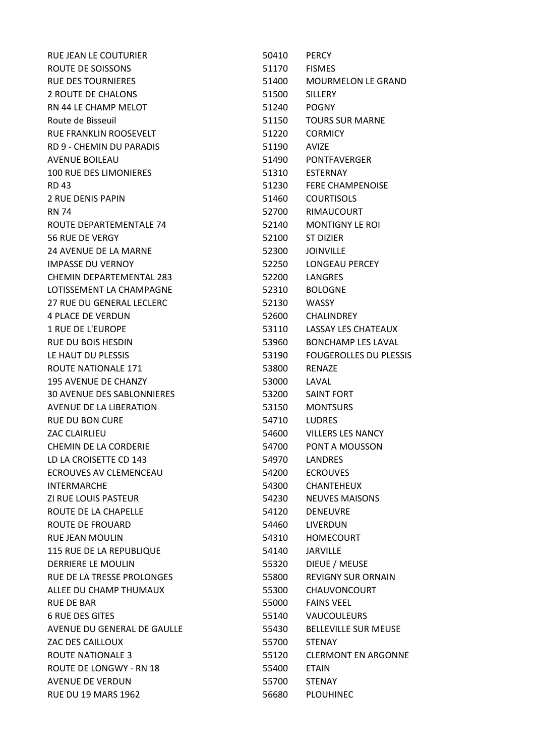| RUE JEAN LE COUTURIER             | 50410 | <b>PERCY</b>                  |
|-----------------------------------|-------|-------------------------------|
| ROUTE DE SOISSONS                 | 51170 | <b>FISMES</b>                 |
| <b>RUE DES TOURNIERES</b>         | 51400 | <b>MOURMELON LE GRAND</b>     |
| 2 ROUTE DE CHALONS                | 51500 | <b>SILLERY</b>                |
| RN 44 LE CHAMP MELOT              | 51240 | <b>POGNY</b>                  |
| Route de Bisseuil                 | 51150 | <b>TOURS SUR MARNE</b>        |
| RUE FRANKLIN ROOSEVELT            | 51220 | <b>CORMICY</b>                |
| RD 9 - CHEMIN DU PARADIS          | 51190 | <b>AVIZE</b>                  |
| <b>AVENUE BOILEAU</b>             | 51490 | PONTFAVERGER                  |
| <b>100 RUE DES LIMONIERES</b>     | 51310 | <b>ESTERNAY</b>               |
| <b>RD 43</b>                      | 51230 | <b>FERE CHAMPENOISE</b>       |
| 2 RUE DENIS PAPIN                 | 51460 | <b>COURTISOLS</b>             |
| <b>RN 74</b>                      | 52700 | RIMAUCOURT                    |
| ROUTE DEPARTEMENTALE 74           | 52140 | <b>MONTIGNY LE ROI</b>        |
| <b>56 RUE DE VERGY</b>            | 52100 | <b>ST DIZIER</b>              |
| <b>24 AVENUE DE LA MARNE</b>      | 52300 | <b>JOINVILLE</b>              |
| <b>IMPASSE DU VERNOY</b>          | 52250 | LONGEAU PERCEY                |
| CHEMIN DEPARTEMENTAL 283          | 52200 | <b>LANGRES</b>                |
| LOTISSEMENT LA CHAMPAGNE          | 52310 | <b>BOLOGNE</b>                |
| 27 RUE DU GENERAL LECLERC         | 52130 | <b>WASSY</b>                  |
| <b>4 PLACE DE VERDUN</b>          | 52600 | <b>CHALINDREY</b>             |
| <b>1 RUE DE L'EUROPE</b>          | 53110 | LASSAY LES CHATEAUX           |
| <b>RUE DU BOIS HESDIN</b>         | 53960 | <b>BONCHAMP LES LAVAL</b>     |
| LE HAUT DU PLESSIS                | 53190 | <b>FOUGEROLLES DU PLESSIS</b> |
| ROUTE NATIONALE 171               | 53800 | RENAZE                        |
| <b>195 AVENUE DE CHANZY</b>       | 53000 | LAVAL                         |
| <b>30 AVENUE DES SABLONNIERES</b> | 53200 | <b>SAINT FORT</b>             |
| AVENUE DE LA LIBERATION           | 53150 | <b>MONTSURS</b>               |
| <b>RUE DU BON CURE</b>            | 54710 | <b>LUDRES</b>                 |
| ZAC CLAIRLIEU                     | 54600 | <b>VILLERS LES NANCY</b>      |
| <b>CHEMIN DE LA CORDERIE</b>      | 54700 | PONT A MOUSSON                |
| LD LA CROISETTE CD 143            | 54970 | <b>LANDRES</b>                |
| ECROUVES AV CLEMENCEAU            | 54200 | <b>ECROUVES</b>               |
| <b>INTERMARCHE</b>                | 54300 | <b>CHANTEHEUX</b>             |
| <b>ZI RUE LOUIS PASTEUR</b>       | 54230 | <b>NEUVES MAISONS</b>         |
| ROUTE DE LA CHAPELLE              | 54120 | <b>DENEUVRE</b>               |
| ROUTE DE FROUARD                  | 54460 | LIVERDUN                      |
| <b>RUE JEAN MOULIN</b>            | 54310 | <b>HOMECOURT</b>              |
| 115 RUE DE LA REPUBLIQUE          | 54140 | <b>JARVILLE</b>               |
| DERRIERE LE MOULIN                | 55320 | DIEUE / MEUSE                 |
| RUE DE LA TRESSE PROLONGES        | 55800 | <b>REVIGNY SUR ORNAIN</b>     |
| ALLEE DU CHAMP THUMAUX            | 55300 | CHAUVONCOURT                  |
| <b>RUE DE BAR</b>                 | 55000 | <b>FAINS VEEL</b>             |
| <b>6 RUE DES GITES</b>            | 55140 | <b>VAUCOULEURS</b>            |
| AVENUE DU GENERAL DE GAULLE       | 55430 | <b>BELLEVILLE SUR MEUSE</b>   |
| ZAC DES CAILLOUX                  | 55700 | <b>STENAY</b>                 |
| <b>ROUTE NATIONALE 3</b>          | 55120 | <b>CLERMONT EN ARGONNE</b>    |
| ROUTE DE LONGWY - RN 18           | 55400 | <b>ETAIN</b>                  |
| <b>AVENUE DE VERDUN</b>           | 55700 | <b>STENAY</b>                 |
| <b>RUE DU 19 MARS 1962</b>        | 56680 | <b>PLOUHINEC</b>              |
|                                   |       |                               |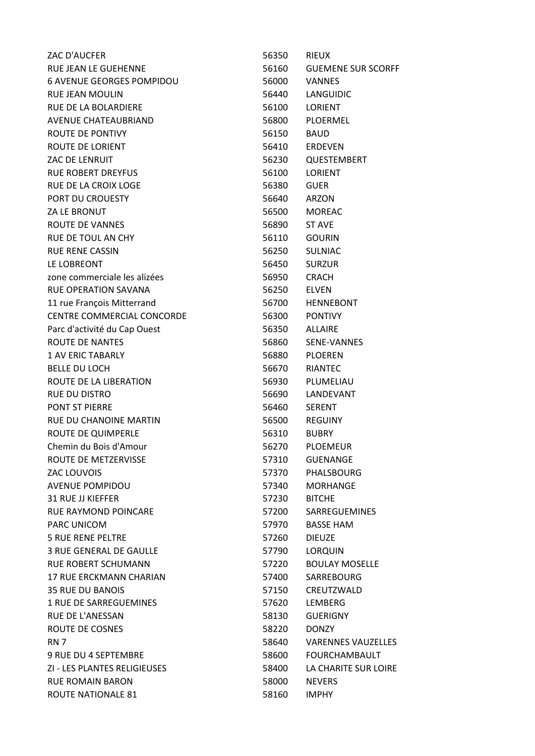| ZAC D'AUCFER                     | 56350 | <b>RIEUX</b>              |
|----------------------------------|-------|---------------------------|
| RUE JEAN LE GUEHENNE             | 56160 | <b>GUEMENE SUR SCORFF</b> |
| <b>6 AVENUE GEORGES POMPIDOU</b> | 56000 | <b>VANNES</b>             |
| <b>RUE JEAN MOULIN</b>           | 56440 | LANGUIDIC                 |
| RUE DE LA BOLARDIERE             | 56100 | <b>LORIENT</b>            |
| <b>AVENUE CHATEAUBRIAND</b>      | 56800 | PLOERMEL                  |
| ROUTE DE PONTIVY                 | 56150 | <b>BAUD</b>               |
| ROUTE DE LORIENT                 | 56410 | <b>ERDEVEN</b>            |
| ZAC DE LENRUIT                   | 56230 | QUESTEMBERT               |
| <b>RUE ROBERT DREYFUS</b>        | 56100 | <b>LORIENT</b>            |
| RUE DE LA CROIX LOGE             | 56380 | <b>GUER</b>               |
| PORT DU CROUESTY                 | 56640 | ARZON                     |
| ZA LE BRONUT                     | 56500 | <b>MOREAC</b>             |
| ROUTE DE VANNES                  | 56890 | <b>ST AVE</b>             |
| RUE DE TOUL AN CHY               | 56110 | <b>GOURIN</b>             |
| <b>RUE RENE CASSIN</b>           | 56250 | <b>SULNIAC</b>            |
| LE LOBREONT                      | 56450 | <b>SURZUR</b>             |
| zone commerciale les alizées     | 56950 | <b>CRACH</b>              |
| <b>RUE OPERATION SAVANA</b>      | 56250 | <b>ELVEN</b>              |
| 11 rue François Mitterrand       | 56700 | <b>HENNEBONT</b>          |
| CENTRE COMMERCIAL CONCORDE       | 56300 | <b>PONTIVY</b>            |
| Parc d'activité du Cap Ouest     | 56350 | ALLAIRE                   |
| ROUTE DE NANTES                  | 56860 | SENE-VANNES               |
| <b>1 AV ERIC TABARLY</b>         | 56880 | <b>PLOEREN</b>            |
| <b>BELLE DU LOCH</b>             | 56670 | <b>RIANTEC</b>            |
| ROUTE DE LA LIBERATION           | 56930 | PLUMELIAU                 |
| <b>RUE DU DISTRO</b>             | 56690 | LANDEVANT                 |
| <b>PONT ST PIERRE</b>            | 56460 | <b>SERENT</b>             |
| RUE DU CHANOINE MARTIN           | 56500 | <b>REGUINY</b>            |
| ROUTE DE QUIMPERLE               | 56310 | <b>BUBRY</b>              |
| Chemin du Bois d'Amour           | 56270 | <b>PLOEMEUR</b>           |
| ROUTE DE METZERVISSE             | 57310 | <b>GUENANGE</b>           |
| ZAC LOUVOIS                      | 57370 | PHALSBOURG                |
| <b>AVENUE POMPIDOU</b>           | 57340 | <b>MORHANGE</b>           |
| <b>31 RUE JJ KIEFFER</b>         | 57230 | <b>BITCHE</b>             |
| <b>RUE RAYMOND POINCARE</b>      | 57200 | SARREGUEMINES             |
| <b>PARC UNICOM</b>               | 57970 | <b>BASSE HAM</b>          |
| <b>5 RUE RENE PELTRE</b>         | 57260 | <b>DIEUZE</b>             |
| 3 RUE GENERAL DE GAULLE          | 57790 | LORQUIN                   |
| <b>RUE ROBERT SCHUMANN</b>       | 57220 | <b>BOULAY MOSELLE</b>     |
| 17 RUE ERCKMANN CHARIAN          | 57400 | SARREBOURG                |
| <b>35 RUE DU BANOIS</b>          | 57150 | CREUTZWALD                |
| 1 RUE DE SARREGUEMINES           | 57620 | LEMBERG                   |
| <b>RUE DE L'ANESSAN</b>          | 58130 | <b>GUERIGNY</b>           |
| ROUTE DE COSNES                  | 58220 | <b>DONZY</b>              |
| <b>RN 7</b>                      | 58640 | <b>VARENNES VAUZELLES</b> |
| 9 RUE DU 4 SEPTEMBRE             | 58600 | <b>FOURCHAMBAULT</b>      |
| ZI - LES PLANTES RELIGIEUSES     | 58400 | LA CHARITE SUR LOIRE      |
| <b>RUE ROMAIN BARON</b>          | 58000 | <b>NEVERS</b>             |
| ROUTE NATIONALE 81               | 58160 | <b>IMPHY</b>              |
|                                  |       |                           |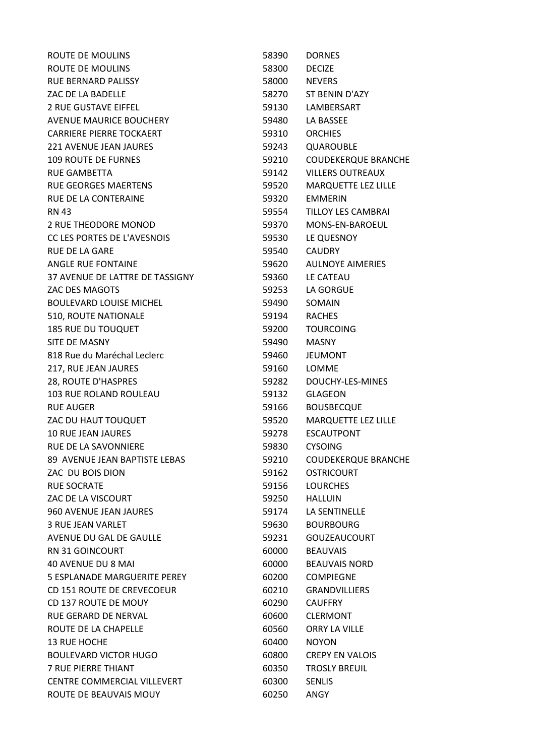| ROUTE DE MOULINS                | 58390 | <b>DORNES</b>              |
|---------------------------------|-------|----------------------------|
| ROUTE DE MOULINS                | 58300 | <b>DECIZE</b>              |
| <b>RUE BERNARD PALISSY</b>      | 58000 | <b>NEVERS</b>              |
| ZAC DE LA BADELLE               | 58270 | ST BENIN D'AZY             |
| <b>2 RUE GUSTAVE EIFFEL</b>     | 59130 | LAMBERSART                 |
| AVENUE MAURICE BOUCHERY         | 59480 | LA BASSEE                  |
| <b>CARRIERE PIERRE TOCKAERT</b> | 59310 | <b>ORCHIES</b>             |
| <b>221 AVENUE JEAN JAURES</b>   | 59243 | QUAROUBLE                  |
| <b>109 ROUTE DE FURNES</b>      | 59210 | <b>COUDEKERQUE BRANCHE</b> |
| <b>RUE GAMBETTA</b>             | 59142 | <b>VILLERS OUTREAUX</b>    |
| <b>RUE GEORGES MAERTENS</b>     | 59520 | <b>MARQUETTE LEZ LILLE</b> |
| RUE DE LA CONTERAINE            | 59320 | <b>EMMERIN</b>             |
| <b>RN 43</b>                    | 59554 | TILLOY LES CAMBRAI         |
| 2 RUE THEODORE MONOD            | 59370 | MONS-EN-BAROEUL            |
| CC LES PORTES DE L'AVESNOIS     | 59530 | LE QUESNOY                 |
| <b>RUE DE LA GARE</b>           | 59540 | <b>CAUDRY</b>              |
| ANGLE RUE FONTAINE              | 59620 | <b>AULNOYE AIMERIES</b>    |
| 37 AVENUE DE LATTRE DE TASSIGNY | 59360 | LE CATEAU                  |
| ZAC DES MAGOTS                  | 59253 | LA GORGUE                  |
| <b>BOULEVARD LOUISE MICHEL</b>  | 59490 | SOMAIN                     |
| 510, ROUTE NATIONALE            | 59194 | <b>RACHES</b>              |
| <b>185 RUE DU TOUQUET</b>       | 59200 | <b>TOURCOING</b>           |
| SITE DE MASNY                   | 59490 | <b>MASNY</b>               |
| 818 Rue du Maréchal Leclerc     | 59460 | <b>JEUMONT</b>             |
| 217, RUE JEAN JAURES            | 59160 | LOMME                      |
| 28, ROUTE D'HASPRES             | 59282 | DOUCHY-LES-MINES           |
| <b>103 RUE ROLAND ROULEAU</b>   | 59132 | <b>GLAGEON</b>             |
| <b>RUE AUGER</b>                | 59166 | <b>BOUSBECQUE</b>          |
| ZAC DU HAUT TOUQUET             | 59520 | MARQUETTE LEZ LILLE        |
| <b>10 RUE JEAN JAURES</b>       | 59278 | <b>ESCAUTPONT</b>          |
| RUE DE LA SAVONNIERE            | 59830 | <b>CYSOING</b>             |
| 89 AVENUE JEAN BAPTISTE LEBAS   | 59210 | <b>COUDEKERQUE BRANCHE</b> |
| ZAC DU BOIS DION                | 59162 | <b>OSTRICOURT</b>          |
| <b>RUE SOCRATE</b>              | 59156 | <b>LOURCHES</b>            |
| ZAC DE LA VISCOURT              | 59250 | <b>HALLUIN</b>             |
| <b>960 AVENUE JEAN JAURES</b>   | 59174 | LA SENTINELLE              |
| 3 RUE JEAN VARLET               | 59630 | <b>BOURBOURG</b>           |
| AVENUE DU GAL DE GAULLE         | 59231 | <b>GOUZEAUCOURT</b>        |
| <b>RN 31 GOINCOURT</b>          | 60000 | <b>BEAUVAIS</b>            |
| 40 AVENUE DU 8 MAI              | 60000 | <b>BEAUVAIS NORD</b>       |
| 5 ESPLANADE MARGUERITE PEREY    | 60200 | <b>COMPIEGNE</b>           |
| CD 151 ROUTE DE CREVECOEUR      | 60210 | <b>GRANDVILLIERS</b>       |
| CD 137 ROUTE DE MOUY            | 60290 | <b>CAUFFRY</b>             |
| RUE GERARD DE NERVAL            | 60600 | <b>CLERMONT</b>            |
| ROUTE DE LA CHAPELLE            | 60560 | ORRY LA VILLE              |
| <b>13 RUE HOCHE</b>             | 60400 | <b>NOYON</b>               |
| <b>BOULEVARD VICTOR HUGO</b>    | 60800 | <b>CREPY EN VALOIS</b>     |
| <b>7 RUE PIERRE THIANT</b>      | 60350 | <b>TROSLY BREUIL</b>       |
| CENTRE COMMERCIAL VILLEVERT     | 60300 | <b>SENLIS</b>              |
| ROUTE DE BEAUVAIS MOUY          | 60250 | ANGY                       |
|                                 |       |                            |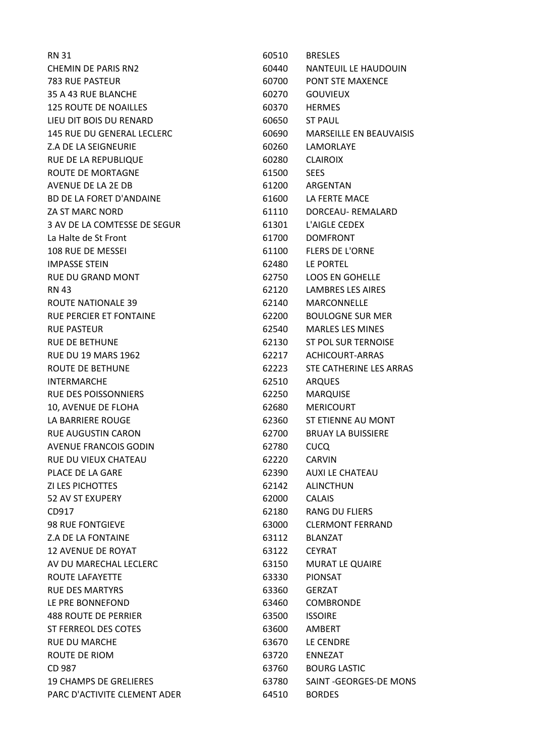| <b>RN 31</b>                  | 60510 | <b>BRESLES</b>                 |
|-------------------------------|-------|--------------------------------|
| <b>CHEMIN DE PARIS RN2</b>    | 60440 | NANTEUIL LE HAUDOUIN           |
| 783 RUE PASTEUR               | 60700 | <b>PONT STE MAXENCE</b>        |
| 35 A 43 RUE BLANCHE           | 60270 | <b>GOUVIEUX</b>                |
| <b>125 ROUTE DE NOAILLES</b>  | 60370 | <b>HERMES</b>                  |
| LIEU DIT BOIS DU RENARD       | 60650 | <b>ST PAUL</b>                 |
| 145 RUE DU GENERAL LECLERC    | 60690 | <b>MARSEILLE EN BEAUVAISIS</b> |
| Z.A DE LA SEIGNEURIE          | 60260 | <b>LAMORLAYE</b>               |
| RUE DE LA REPUBLIQUE          | 60280 | <b>CLAIROIX</b>                |
| ROUTE DE MORTAGNE             | 61500 | <b>SEES</b>                    |
| AVENUE DE LA 2E DB            | 61200 | ARGENTAN                       |
| BD DE LA FORET D'ANDAINE      | 61600 | LA FERTE MACE                  |
| ZA ST MARC NORD               | 61110 | DORCEAU-REMALARD               |
| 3 AV DE LA COMTESSE DE SEGUR  | 61301 | L'AIGLE CEDEX                  |
| La Halte de St Front          | 61700 | <b>DOMFRONT</b>                |
| 108 RUE DE MESSEI             | 61100 | <b>FLERS DE L'ORNE</b>         |
| <b>IMPASSE STEIN</b>          | 62480 | LE PORTEL                      |
| <b>RUE DU GRAND MONT</b>      | 62750 | <b>LOOS EN GOHELLE</b>         |
| <b>RN 43</b>                  | 62120 | <b>LAMBRES LES AIRES</b>       |
| ROUTE NATIONALE 39            | 62140 | MARCONNELLE                    |
| RUE PERCIER ET FONTAINE       | 62200 | <b>BOULOGNE SUR MER</b>        |
| <b>RUE PASTEUR</b>            | 62540 | <b>MARLES LES MINES</b>        |
| <b>RUE DE BETHUNE</b>         | 62130 | <b>ST POL SUR TERNOISE</b>     |
| <b>RUE DU 19 MARS 1962</b>    | 62217 | <b>ACHICOURT-ARRAS</b>         |
| ROUTE DE BETHUNE              | 62223 | STE CATHERINE LES ARRAS        |
| <b>INTERMARCHE</b>            | 62510 | <b>ARQUES</b>                  |
| <b>RUE DES POISSONNIERS</b>   | 62250 | <b>MARQUISE</b>                |
| 10, AVENUE DE FLOHA           | 62680 | <b>MERICOURT</b>               |
| LA BARRIERE ROUGE             | 62360 | ST ETIENNE AU MONT             |
| <b>RUE AUGUSTIN CARON</b>     | 62700 | <b>BRUAY LA BUISSIERE</b>      |
| <b>AVENUE FRANCOIS GODIN</b>  | 62780 | CUCQ                           |
| <b>RUE DU VIEUX CHATEAU</b>   | 62220 | <b>CARVIN</b>                  |
| PLACE DE LA GARE              | 62390 | <b>AUXI LE CHATEAU</b>         |
| <b>ZI LES PICHOTTES</b>       | 62142 | <b>ALINCTHUN</b>               |
| <b>52 AV ST EXUPERY</b>       | 62000 | <b>CALAIS</b>                  |
| CD917                         | 62180 | <b>RANG DU FLIERS</b>          |
| <b>98 RUE FONTGIEVE</b>       | 63000 | <b>CLERMONT FERRAND</b>        |
| Z.A DE LA FONTAINE            | 63112 | <b>BLANZAT</b>                 |
| <b>12 AVENUE DE ROYAT</b>     | 63122 | <b>CEYRAT</b>                  |
| AV DU MARECHAL LECLERC        | 63150 | <b>MURAT LE QUAIRE</b>         |
| ROUTE LAFAYETTE               | 63330 | PIONSAT                        |
| <b>RUE DES MARTYRS</b>        | 63360 | <b>GERZAT</b>                  |
| LE PRE BONNEFOND              | 63460 | <b>COMBRONDE</b>               |
| <b>488 ROUTE DE PERRIER</b>   | 63500 | <b>ISSOIRE</b>                 |
| <b>ST FERREOL DES COTES</b>   | 63600 | <b>AMBERT</b>                  |
| <b>RUE DU MARCHE</b>          | 63670 | LE CENDRE                      |
| ROUTE DE RIOM                 | 63720 | <b>ENNEZAT</b>                 |
| CD 987                        | 63760 | <b>BOURG LASTIC</b>            |
| <b>19 CHAMPS DE GRELIERES</b> | 63780 | SAINT - GEORGES-DE MONS        |
| PARC D'ACTIVITE CLEMENT ADER  | 64510 | <b>BORDES</b>                  |
|                               |       |                                |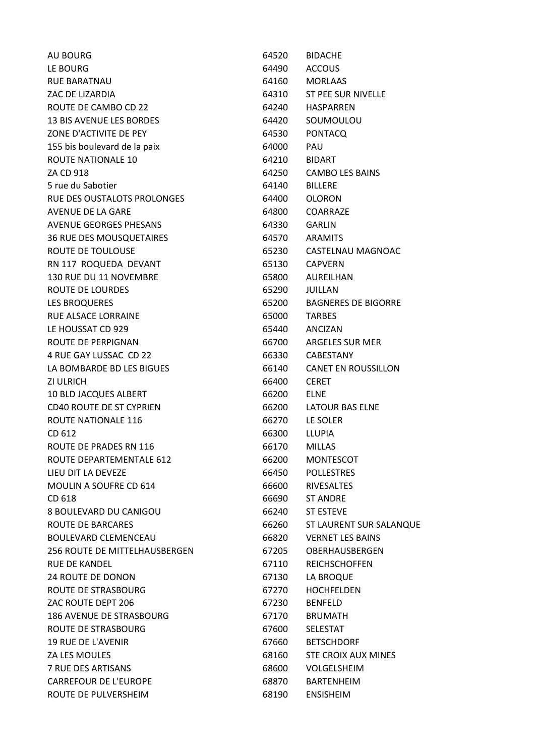AU BOURG **64520 BIDACHE** LE BOURG 64490 ACCOUS RUE BARATNAU 64160 MORLAAS ZAC DE LIZARDIA 64310 ST PEE SUR NIVELLE ROUTE DE CAMBO CD 22 64240 HASPARREN 13 BIS AVENUE LES BORDES 64420 SOUMOULOU ZONE D'ACTIVITE DE PEY
BERRET EN ENSEMBLE DE PEY **64530**PONTACQ 155 bis boulevard de la paix 64000 PAU ROUTE NATIONALE 10 64210 BIDART ZA CD 918 64250 CAMBO LES BAINS 5 rue du Sabotier 64140 BILLERE RUE DES OUSTALOTS PROLONGES 64400 OLORON AVENUE DE LA GARE 64800 COARRAZE AVENUE GEORGES PHESANS 64330 GARLIN 36 RUE DES MOUSQUETAIRES 64570 ARAMITS ROUTE DE TOULOUSE **65230** CASTELNAU MAGNOAC RN 117 ROQUEDA DEVANT 65130 CAPVERN 130 RUE DU 11 NOVEMBRE 65800 AUREILHAN ROUTE DE LOURDES 65290 JUILLAN LES BROQUERES 65200 BAGNERES DE BIGORRE RUE ALSACE LORRAINE 65000 TARBES LE HOUSSAT CD 929 65440 ANCIZAN ROUTE DE PERPIGNAN 66700 ARGELES SUR MER 4 RUE GAY LUSSAC CD 22 66330 CABESTANY LA BOMBARDE BD LES BIGUES 66140 CANET EN ROUSSILLON ZI ULRICH 66400 CERET 10 BLD JACQUES ALBERT 66200 ELNE CD40 ROUTE DE ST CYPRIEN 66200 LATOUR BAS ELNE ROUTE NATIONALE 116 **66270** LE SOLER CD 612 66300 LLUPIA ROUTE DE PRADES RN 116 66170 MILLAS ROUTE DEPARTEMENTALE 612 66200 MONTESCOT LIEU DIT LA DEVEZE 66450 POLLESTRES MOULIN A SOUFRE CD 614 66600 RIVESALTES CD 618 66690 ST ANDRE 8 BOULEVARD DU CANIGOU 66240 ST ESTEVE ROUTE DE BARCARES **1999 120 SEPTEMBER 100 ST LAURENT SUR SALANQUE** BOULEVARD CLEMENCEAU 66820 VERNET LES BAINS 256 ROUTE DE MITTELHAUSBERGEN 67205 OBERHAUSBERGEN RUE DE KANDEL **ANDEL 1999 ENGLISHER 1999 CONTROLLER STATES AND REICHSCHOFFEN** 24 ROUTE DE DONON 67130 LA BROQUE ROUTE DE STRASBOURG 67270 HOCHFELDEN ZAC ROUTE DEPT 206 67230 BENFELD 186 AVENUE DE STRASBOURG 67170 BRUMATH ROUTE DE STRASBOURG
BOUTE DE STRASBOURG **EXAMPLE 1999** 19 RUE DE L'AVENIR 67660 BETSCHDORF ZA LES MOULES 68160 STE CROIX AUX MINES 7 RUE DES ARTISANS 68600 VOLGELSHEIM CARREFOUR DE L'EUROPE 68870 BARTENHEIM ROUTE DE PULVERSHEIM **68190** ENSISHEIM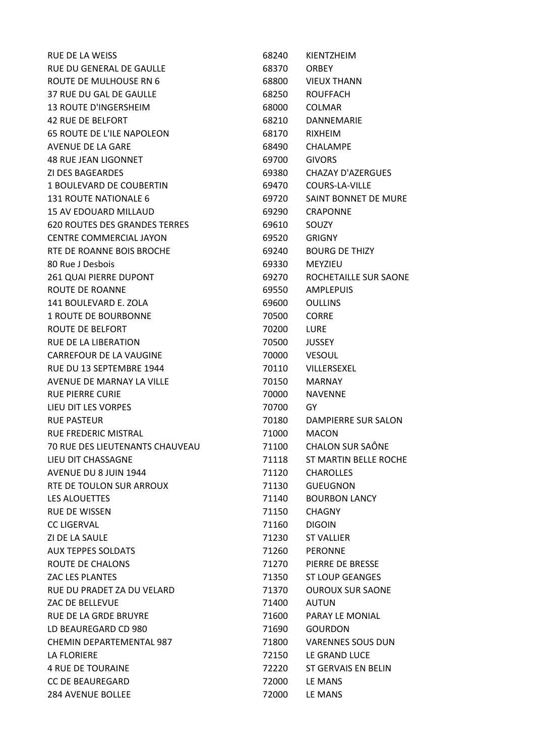| RUE DE LA WEISS                        | 68240 | KIENTZHEIM               |
|----------------------------------------|-------|--------------------------|
| <b>RUE DU GENERAL DE GAULLE</b>        | 68370 | <b>ORBEY</b>             |
| ROUTE DE MULHOUSE RN 6                 | 68800 | <b>VIEUX THANN</b>       |
| 37 RUE DU GAL DE GAULLE                | 68250 | <b>ROUFFACH</b>          |
| <b>13 ROUTE D'INGERSHEIM</b>           | 68000 | <b>COLMAR</b>            |
| <b>42 RUE DE BELFORT</b>               | 68210 | DANNEMARIE               |
| <b>65 ROUTE DE L'ILE NAPOLEON</b>      | 68170 | <b>RIXHEIM</b>           |
| AVENUE DE LA GARE                      | 68490 | <b>CHALAMPE</b>          |
| <b>48 RUE JEAN LIGONNET</b>            | 69700 | <b>GIVORS</b>            |
| ZI DES BAGEARDES                       | 69380 | <b>CHAZAY D'AZERGUES</b> |
| 1 BOULEVARD DE COUBERTIN               | 69470 | <b>COURS-LA-VILLE</b>    |
| <b>131 ROUTE NATIONALE 6</b>           | 69720 | SAINT BONNET DE MURE     |
| <b>15 AV EDOUARD MILLAUD</b>           | 69290 | <b>CRAPONNE</b>          |
| 620 ROUTES DES GRANDES TERRES          | 69610 | SOUZY                    |
| <b>CENTRE COMMERCIAL JAYON</b>         | 69520 | <b>GRIGNY</b>            |
| RTE DE ROANNE BOIS BROCHE              | 69240 | <b>BOURG DE THIZY</b>    |
| 80 Rue J Desbois                       | 69330 | MEYZIEU                  |
| 261 QUAI PIERRE DUPONT                 | 69270 | ROCHETAILLE SUR SAONE    |
| <b>ROUTE DE ROANNE</b>                 | 69550 | <b>AMPLEPUIS</b>         |
| 141 BOULEVARD E. ZOLA                  | 69600 | <b>OULLINS</b>           |
| <b>1 ROUTE DE BOURBONNE</b>            | 70500 | <b>CORRE</b>             |
| ROUTE DE BELFORT                       | 70200 | LURE                     |
| RUE DE LA LIBERATION                   | 70500 | <b>JUSSEY</b>            |
| CARREFOUR DE LA VAUGINE                | 70000 | <b>VESOUL</b>            |
| RUE DU 13 SEPTEMBRE 1944               | 70110 | VILLERSEXEL              |
| AVENUE DE MARNAY LA VILLE              | 70150 | <b>MARNAY</b>            |
| <b>RUE PIERRE CURIE</b>                | 70000 | <b>NAVENNE</b>           |
| LIEU DIT LES VORPES                    | 70700 | GY.                      |
| <b>RUE PASTEUR</b>                     | 70180 | DAMPIERRE SUR SALON      |
| RUE FREDERIC MISTRAL                   | 71000 | <b>MACON</b>             |
| <b>70 RUE DES LIEUTENANTS CHAUVEAU</b> | 71100 | <b>CHALON SUR SAÔNE</b>  |
| LIEU DIT CHASSAGNE                     | 71118 | ST MARTIN BELLE ROCHE    |
| AVENUE DU 8 JUIN 1944                  | 71120 | <b>CHAROLLES</b>         |
| RTE DE TOULON SUR ARROUX               | 71130 | <b>GUEUGNON</b>          |
| LES ALOUETTES                          | 71140 | <b>BOURBON LANCY</b>     |
| <b>RUE DE WISSEN</b>                   | 71150 | <b>CHAGNY</b>            |
| <b>CC LIGERVAL</b>                     | 71160 | <b>DIGOIN</b>            |
| ZI DE LA SAULE                         | 71230 | <b>ST VALLIER</b>        |
| <b>AUX TEPPES SOLDATS</b>              | 71260 | <b>PERONNE</b>           |
| ROUTE DE CHALONS                       | 71270 | PIERRE DE BRESSE         |
| ZAC LES PLANTES                        | 71350 | <b>ST LOUP GEANGES</b>   |
| RUE DU PRADET ZA DU VELARD             | 71370 | <b>OUROUX SUR SAONE</b>  |
| ZAC DE BELLEVUE                        | 71400 | <b>AUTUN</b>             |
| RUE DE LA GRDE BRUYRE                  | 71600 | <b>PARAY LE MONIAL</b>   |
| LD BEAUREGARD CD 980                   | 71690 | <b>GOURDON</b>           |
| CHEMIN DEPARTEMENTAL 987               | 71800 | <b>VARENNES SOUS DUN</b> |
| LA FLORIERE                            | 72150 | LE GRAND LUCE            |
| <b>4 RUE DE TOURAINE</b>               | 72220 | ST GERVAIS EN BELIN      |
| <b>CC DE BEAUREGARD</b>                | 72000 | LE MANS                  |
| 284 AVENUE BOLLEE                      | 72000 | LE MANS                  |
|                                        |       |                          |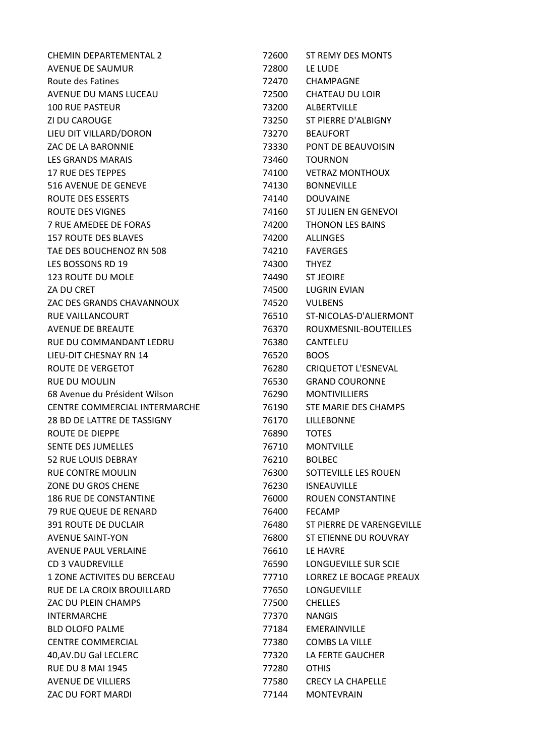| <b>CHEMIN DEPARTEMENTAL 2</b> | 72600          | ST REMY DES MONTS         |
|-------------------------------|----------------|---------------------------|
| AVENUE DE SAUMUR              | 72800          | LE LUDE                   |
| Route des Fatines             | 72470          | CHAMPAGNE                 |
| AVENUE DU MANS LUCEAU         | 72500          | <b>CHATEAU DU LOIR</b>    |
| <b>100 RUE PASTEUR</b>        | 73200          | ALBERTVILLE               |
| ZI DU CAROUGE                 | 73250          | ST PIERRE D'ALBIGNY       |
| LIEU DIT VILLARD/DORON        | 73270          | <b>BEAUFORT</b>           |
| ZAC DE LA BARONNIE            | 73330          | PONT DE BEAUVOISIN        |
| LES GRANDS MARAIS             | 73460          | <b>TOURNON</b>            |
| <b>17 RUE DES TEPPES</b>      | 74100          | <b>VETRAZ MONTHOUX</b>    |
| 516 AVENUE DE GENEVE          | 74130          | <b>BONNEVILLE</b>         |
| ROUTE DES ESSERTS             | 74140          | <b>DOUVAINE</b>           |
| ROUTE DES VIGNES              | 74160          | ST JULIEN EN GENEVOI      |
| 7 RUE AMEDEE DE FORAS         | 74200          | THONON LES BAINS          |
| <b>157 ROUTE DES BLAVES</b>   | 74200          | <b>ALLINGES</b>           |
| TAE DES BOUCHENOZ RN 508      | 74210          | <b>FAVERGES</b>           |
| LES BOSSONS RD 19             | 74300          | <b>THYEZ</b>              |
| <b>123 ROUTE DU MOLE</b>      | 74490          | <b>ST JEOIRE</b>          |
| ZA DU CRET                    | 74500          | <b>LUGRIN EVIAN</b>       |
| ZAC DES GRANDS CHAVANNOUX     | 74520          | <b>VULBENS</b>            |
| RUE VAILLANCOURT              | 76510          | ST-NICOLAS-D'ALIERMONT    |
| AVENUE DE BREAUTE             | 76370          | ROUXMESNIL-BOUTEILLES     |
| RUE DU COMMANDANT LEDRU       | 76380          | CANTELEU                  |
| LIEU-DIT CHESNAY RN 14        | 76520          | <b>BOOS</b>               |
| ROUTE DE VERGETOT             | 76280          | CRIQUETOT L'ESNEVAL       |
| RUE DU MOULIN                 | 76530          | <b>GRAND COURONNE</b>     |
| 68 Avenue du Président Wilson | 76290          | <b>MONTIVILLIERS</b>      |
| CENTRE COMMERCIAL INTERMARCHE | 76190          | STE MARIE DES CHAMPS      |
| 28 BD DE LATTRE DE TASSIGNY   | 76170          | LILLEBONNE                |
| <b>ROUTE DE DIEPPE</b>        | 76890          | <b>TOTES</b>              |
| <b>SENTE DES JUMELLES</b>     | 76710          | <b>MONTVILLE</b>          |
| 52 RUE LOUIS DEBRAY           | 76210          | <b>BOLBEC</b>             |
| <b>RUE CONTRE MOULIN</b>      | 76300          | SOTTEVILLE LES ROUEN      |
| ZONE DU GROS CHENE            | 76230          | <b>ISNEAUVILLE</b>        |
| <b>186 RUE DE CONSTANTINE</b> |                | ROUEN CONSTANTINE         |
| 79 RUE QUEUE DE RENARD        | 76000<br>76400 | <b>FECAMP</b>             |
| <b>391 ROUTE DE DUCLAIR</b>   |                | ST PIERRE DE VARENGEVILLE |
|                               | 76480          |                           |
| <b>AVENUE SAINT-YON</b>       | 76800          | ST ETIENNE DU ROUVRAY     |
| <b>AVENUE PAUL VERLAINE</b>   | 76610          | LE HAVRE                  |
| <b>CD 3 VAUDREVILLE</b>       | 76590          | LONGUEVILLE SUR SCIE      |
| 1 ZONE ACTIVITES DU BERCEAU   | 77710          | LORREZ LE BOCAGE PREAUX   |
| RUE DE LA CROIX BROUILLARD    | 77650          | <b>LONGUEVILLE</b>        |
| ZAC DU PLEIN CHAMPS           | 77500          | <b>CHELLES</b>            |
| <b>INTERMARCHE</b>            | 77370          | <b>NANGIS</b>             |
| <b>BLD OLOFO PALME</b>        | 77184          | <b>EMERAINVILLE</b>       |
| <b>CENTRE COMMERCIAL</b>      | 77380          | <b>COMBS LA VILLE</b>     |
| 40, AV. DU Gal LECLERC        | 77320          | LA FERTE GAUCHER          |
| <b>RUE DU 8 MAI 1945</b>      | 77280          | <b>OTHIS</b>              |
| AVENUE DE VILLIERS            | 77580          | <b>CRECY LA CHAPELLE</b>  |
| ZAC DU FORT MARDI             | 77144          | <b>MONTEVRAIN</b>         |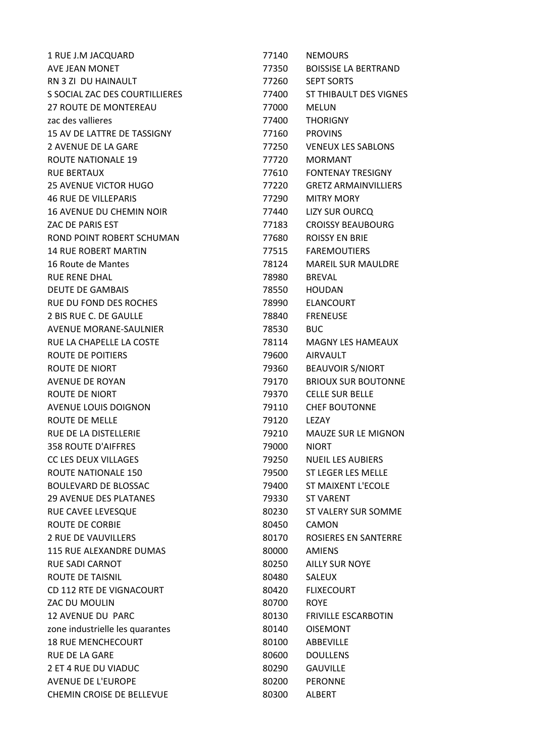| 1 RUE J.M JACQUARD              | 77140 | <b>NEMOURS</b>              |
|---------------------------------|-------|-----------------------------|
| AVE JEAN MONET                  | 77350 | <b>BOISSISE LA BERTRAND</b> |
| RN 3 ZI DU HAINAULT             | 77260 | <b>SEPT SORTS</b>           |
| S SOCIAL ZAC DES COURTILLIERES  | 77400 | ST THIBAULT DES VIGNES      |
| <b>27 ROUTE DE MONTEREAU</b>    | 77000 | <b>MELUN</b>                |
| zac des vallieres               | 77400 | <b>THORIGNY</b>             |
| 15 AV DE LATTRE DE TASSIGNY     | 77160 | <b>PROVINS</b>              |
| 2 AVENUE DE LA GARE             | 77250 | <b>VENEUX LES SABLONS</b>   |
| <b>ROUTE NATIONALE 19</b>       | 77720 | <b>MORMANT</b>              |
| <b>RUE BERTAUX</b>              | 77610 | <b>FONTENAY TRESIGNY</b>    |
| <b>25 AVENUE VICTOR HUGO</b>    | 77220 | <b>GRETZ ARMAINVILLIERS</b> |
| <b>46 RUE DE VILLEPARIS</b>     | 77290 | <b>MITRY MORY</b>           |
| <b>16 AVENUE DU CHEMIN NOIR</b> | 77440 | <b>LIZY SUR OURCQ</b>       |
| ZAC DE PARIS EST                | 77183 | <b>CROISSY BEAUBOURG</b>    |
| ROND POINT ROBERT SCHUMAN       | 77680 | <b>ROISSY EN BRIE</b>       |
| <b>14 RUE ROBERT MARTIN</b>     | 77515 | <b>FAREMOUTIERS</b>         |
| 16 Route de Mantes              | 78124 | <b>MAREIL SUR MAULDRE</b>   |
| <b>RUE RENE DHAL</b>            | 78980 | <b>BREVAL</b>               |
| <b>DEUTE DE GAMBAIS</b>         | 78550 | <b>HOUDAN</b>               |
| RUE DU FOND DES ROCHES          | 78990 | <b>ELANCOURT</b>            |
| 2 BIS RUE C. DE GAULLE          | 78840 | <b>FRENEUSE</b>             |
| AVENUE MORANE-SAULNIER          | 78530 | <b>BUC</b>                  |
| RUE LA CHAPELLE LA COSTE        | 78114 | <b>MAGNY LES HAMEAUX</b>    |
| ROUTE DE POITIERS               | 79600 | <b>AIRVAULT</b>             |
| ROUTE DE NIORT                  | 79360 | <b>BEAUVOIR S/NIORT</b>     |
| AVENUE DE ROYAN                 | 79170 | <b>BRIOUX SUR BOUTONNE</b>  |
| ROUTE DE NIORT                  | 79370 | <b>CELLE SUR BELLE</b>      |
| <b>AVENUE LOUIS DOIGNON</b>     | 79110 | <b>CHEF BOUTONNE</b>        |
| ROUTE DE MELLE                  | 79120 | LEZAY                       |
| RUE DE LA DISTELLERIE           | 79210 | <b>MAUZE SUR LE MIGNON</b>  |
| <b>358 ROUTE D'AIFFRES</b>      | 79000 | <b>NIORT</b>                |
| <b>CC LES DEUX VILLAGES</b>     | 79250 | <b>NUEIL LES AUBIERS</b>    |
| <b>ROUTE NATIONALE 150</b>      | 79500 | ST LEGER LES MELLE          |
| <b>BOULEVARD DE BLOSSAC</b>     | 79400 | ST MAIXENT L'ECOLE          |
| <b>29 AVENUE DES PLATANES</b>   | 79330 | <b>ST VARENT</b>            |
| RUE CAVEE LEVESQUE              | 80230 | ST VALERY SUR SOMME         |
| <b>ROUTE DE CORBIE</b>          | 80450 | <b>CAMON</b>                |
| <b>2 RUE DE VAUVILLERS</b>      | 80170 | ROSIERES EN SANTERRE        |
| 115 RUE ALEXANDRE DUMAS         |       | <b>AMIENS</b>               |
| <b>RUE SADI CARNOT</b>          | 80000 | <b>AILLY SUR NOYE</b>       |
|                                 | 80250 |                             |
| ROUTE DE TAISNIL                | 80480 | <b>SALEUX</b>               |
| CD 112 RTE DE VIGNACOURT        | 80420 | <b>FLIXECOURT</b>           |
| ZAC DU MOULIN                   | 80700 | <b>ROYE</b>                 |
| <b>12 AVENUE DU PARC</b>        | 80130 | <b>FRIVILLE ESCARBOTIN</b>  |
| zone industrielle les quarantes | 80140 | <b>OISEMONT</b>             |
| <b>18 RUE MENCHECOURT</b>       | 80100 | ABBEVILLE                   |
| <b>RUE DE LA GARE</b>           | 80600 | <b>DOULLENS</b>             |
| 2 ET 4 RUE DU VIADUC            | 80290 | <b>GAUVILLE</b>             |
| <b>AVENUE DE L'EUROPE</b>       | 80200 | <b>PERONNE</b>              |
| CHEMIN CROISE DE BELLEVUE       | 80300 | <b>ALBERT</b>               |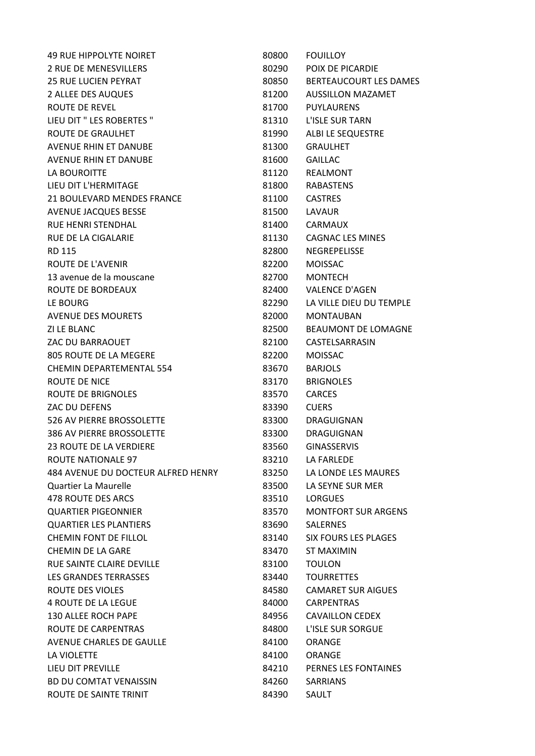| <b>49 RUE HIPPOLYTE NOIRET</b>     | 80800 | <b>FOUILLOY</b>             |
|------------------------------------|-------|-----------------------------|
| 2 RUE DE MENESVILLERS              | 80290 | POIX DE PICARDIE            |
| <b>25 RUE LUCIEN PEYRAT</b>        | 80850 | BERTEAUCOURT LES DAMES      |
| 2 ALLEE DES AUQUES                 | 81200 | <b>AUSSILLON MAZAMET</b>    |
| <b>ROUTE DE REVEL</b>              | 81700 | <b>PUYLAURENS</b>           |
| LIEU DIT " LES ROBERTES "          | 81310 | L'ISLE SUR TARN             |
| <b>ROUTE DE GRAULHET</b>           | 81990 | ALBI LE SEQUESTRE           |
| <b>AVENUE RHIN ET DANUBE</b>       | 81300 | <b>GRAULHET</b>             |
| AVENUE RHIN ET DANUBE              | 81600 | <b>GAILLAC</b>              |
| LA BOUROITTE                       | 81120 | <b>REALMONT</b>             |
| LIEU DIT L'HERMITAGE               | 81800 | <b>RABASTENS</b>            |
| 21 BOULEVARD MENDES FRANCE         | 81100 | <b>CASTRES</b>              |
| AVENUE JACQUES BESSE               | 81500 | <b>LAVAUR</b>               |
| <b>RUE HENRI STENDHAL</b>          | 81400 | <b>CARMAUX</b>              |
| <b>RUE DE LA CIGALARIE</b>         | 81130 | <b>CAGNAC LES MINES</b>     |
| <b>RD 115</b>                      | 82800 | NEGREPELISSE                |
| ROUTE DE L'AVENIR                  | 82200 | <b>MOISSAC</b>              |
| 13 avenue de la mouscane           | 82700 | <b>MONTECH</b>              |
| ROUTE DE BORDEAUX                  | 82400 | <b>VALENCE D'AGEN</b>       |
| LE BOURG                           | 82290 | LA VILLE DIEU DU TEMPLE     |
| <b>AVENUE DES MOURETS</b>          | 82000 | <b>MONTAUBAN</b>            |
| <b>ZI LE BLANC</b>                 | 82500 | BEAUMONT DE LOMAGNE         |
| ZAC DU BARRAOUET                   | 82100 | CASTELSARRASIN              |
| 805 ROUTE DE LA MEGERE             | 82200 | <b>MOISSAC</b>              |
| <b>CHEMIN DEPARTEMENTAL 554</b>    | 83670 | <b>BARJOLS</b>              |
| ROUTE DE NICE                      | 83170 | <b>BRIGNOLES</b>            |
| ROUTE DE BRIGNOLES                 | 83570 | <b>CARCES</b>               |
| ZAC DU DEFENS                      | 83390 | <b>CUERS</b>                |
| 526 AV PIERRE BROSSOLETTE          | 83300 | DRAGUIGNAN                  |
| 386 AV PIERRE BROSSOLETTE          | 83300 | DRAGUIGNAN                  |
| <b>23 ROUTE DE LA VERDIERE</b>     | 83560 | <b>GINASSERVIS</b>          |
| <b>ROUTE NATIONALE 97</b>          | 83210 | LA FARLEDE                  |
| 484 AVENUE DU DOCTEUR ALFRED HENRY | 83250 | LA LONDE LES MAURES         |
| Quartier La Maurelle               | 83500 | LA SEYNE SUR MER            |
| 478 ROUTE DES ARCS                 | 83510 | <b>LORGUES</b>              |
| <b>QUARTIER PIGEONNIER</b>         | 83570 | <b>MONTFORT SUR ARGENS</b>  |
| <b>QUARTIER LES PLANTIERS</b>      | 83690 | <b>SALERNES</b>             |
| <b>CHEMIN FONT DE FILLOL</b>       | 83140 | <b>SIX FOURS LES PLAGES</b> |
| <b>CHEMIN DE LA GARE</b>           | 83470 | <b>ST MAXIMIN</b>           |
| RUE SAINTE CLAIRE DEVILLE          | 83100 | <b>TOULON</b>               |
| <b>LES GRANDES TERRASSES</b>       | 83440 | <b>TOURRETTES</b>           |
| ROUTE DES VIOLES                   | 84580 | <b>CAMARET SUR AIGUES</b>   |
| <b>4 ROUTE DE LA LEGUE</b>         | 84000 | <b>CARPENTRAS</b>           |
| 130 ALLEE ROCH PAPE                | 84956 | <b>CAVAILLON CEDEX</b>      |
| ROUTE DE CARPENTRAS                | 84800 | L'ISLE SUR SORGUE           |
| AVENUE CHARLES DE GAULLE           | 84100 | ORANGE                      |
| LA VIOLETTE                        | 84100 | <b>ORANGE</b>               |
| LIEU DIT PREVILLE                  | 84210 | PERNES LES FONTAINES        |
| <b>BD DU COMTAT VENAISSIN</b>      | 84260 | <b>SARRIANS</b>             |
| ROUTE DE SAINTE TRINIT             | 84390 | SAULT                       |
|                                    |       |                             |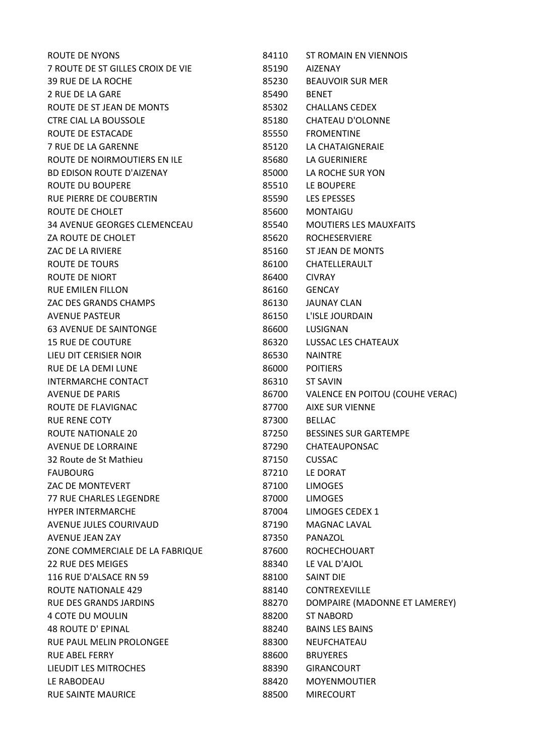| <b>ROUTE DE NYONS</b>               | 84110 | ST ROMAIN EN VIENNOIS           |
|-------------------------------------|-------|---------------------------------|
| 7 ROUTE DE ST GILLES CROIX DE VIE   | 85190 | <b>AIZENAY</b>                  |
| 39 RUE DE LA ROCHE                  | 85230 | <b>BEAUVOIR SUR MER</b>         |
| 2 RUE DE LA GARE                    | 85490 | <b>BENET</b>                    |
| ROUTE DE ST JEAN DE MONTS           | 85302 | <b>CHALLANS CEDEX</b>           |
| <b>CTRE CIAL LA BOUSSOLE</b>        | 85180 | <b>CHATEAU D'OLONNE</b>         |
| ROUTE DE ESTACADE                   | 85550 | <b>FROMENTINE</b>               |
| <b>7 RUE DE LA GARENNE</b>          | 85120 | LA CHATAIGNERAIE                |
| ROUTE DE NOIRMOUTIERS EN ILE        | 85680 | LA GUERINIERE                   |
| <b>BD EDISON ROUTE D'AIZENAY</b>    | 85000 | LA ROCHE SUR YON                |
| ROUTE DU BOUPERE                    | 85510 | LE BOUPERE                      |
| RUE PIERRE DE COUBERTIN             | 85590 | <b>LES EPESSES</b>              |
| ROUTE DE CHOLET                     | 85600 | <b>MONTAIGU</b>                 |
| <b>34 AVENUE GEORGES CLEMENCEAU</b> | 85540 | <b>MOUTIERS LES MAUXFAITS</b>   |
| ZA ROUTE DE CHOLET                  | 85620 | <b>ROCHESERVIERE</b>            |
| ZAC DE LA RIVIERE                   | 85160 | ST JEAN DE MONTS                |
| ROUTE DE TOURS                      | 86100 | CHATELLERAULT                   |
| ROUTE DE NIORT                      | 86400 | <b>CIVRAY</b>                   |
| <b>RUE EMILEN FILLON</b>            | 86160 | <b>GENCAY</b>                   |
| ZAC DES GRANDS CHAMPS               | 86130 | <b>JAUNAY CLAN</b>              |
| <b>AVENUE PASTEUR</b>               | 86150 | L'ISLE JOURDAIN                 |
| <b>63 AVENUE DE SAINTONGE</b>       | 86600 | LUSIGNAN                        |
| <b>15 RUE DE COUTURE</b>            | 86320 | LUSSAC LES CHATEAUX             |
| LIEU DIT CERISIER NOIR              | 86530 | <b>NAINTRE</b>                  |
| RUE DE LA DEMI LUNE                 | 86000 | <b>POITIERS</b>                 |
| <b>INTERMARCHE CONTACT</b>          | 86310 | <b>ST SAVIN</b>                 |
| <b>AVENUE DE PARIS</b>              | 86700 | VALENCE EN POITOU (COUHE VERAC) |
| ROUTE DE FLAVIGNAC                  | 87700 | <b>AIXE SUR VIENNE</b>          |
| <b>RUE RENE COTY</b>                | 87300 | <b>BELLAC</b>                   |
| <b>ROUTE NATIONALE 20</b>           | 87250 | <b>BESSINES SUR GARTEMPE</b>    |
| <b>AVENUE DE LORRAINE</b>           | 87290 | <b>CHATEAUPONSAC</b>            |
| 32 Route de St Mathieu              | 87150 | <b>CUSSAC</b>                   |
| <b>FAUBOURG</b>                     | 87210 | LE DORAT                        |
| ZAC DE MONTEVERT                    | 87100 | <b>LIMOGES</b>                  |
| <b>77 RUE CHARLES LEGENDRE</b>      | 87000 | <b>LIMOGES</b>                  |
| <b>HYPER INTERMARCHE</b>            | 87004 | LIMOGES CEDEX 1                 |
| AVENUE JULES COURIVAUD              | 87190 | MAGNAC LAVAL                    |
| <b>AVENUE JEAN ZAY</b>              | 87350 | PANAZOL                         |
| ZONE COMMERCIALE DE LA FABRIQUE     | 87600 | <b>ROCHECHOUART</b>             |
| <b>22 RUE DES MEIGES</b>            | 88340 | LE VAL D'AJOL                   |
| 116 RUE D'ALSACE RN 59              | 88100 | <b>SAINT DIE</b>                |
| ROUTE NATIONALE 429                 | 88140 | <b>CONTREXEVILLE</b>            |
| <b>RUE DES GRANDS JARDINS</b>       | 88270 | DOMPAIRE (MADONNE ET LAMEREY)   |
| 4 COTE DU MOULIN                    | 88200 | <b>ST NABORD</b>                |
| <b>48 ROUTE D' EPINAL</b>           | 88240 | <b>BAINS LES BAINS</b>          |
| RUE PAUL MELIN PROLONGEE            | 88300 | NEUFCHATEAU                     |
| <b>RUE ABEL FERRY</b>               | 88600 | <b>BRUYERES</b>                 |
| LIEUDIT LES MITROCHES               | 88390 | <b>GIRANCOURT</b>               |
| LE RABODEAU                         | 88420 | <b>MOYENMOUTIER</b>             |
| <b>RUE SAINTE MAURICE</b>           | 88500 | <b>MIRECOURT</b>                |
|                                     |       |                                 |